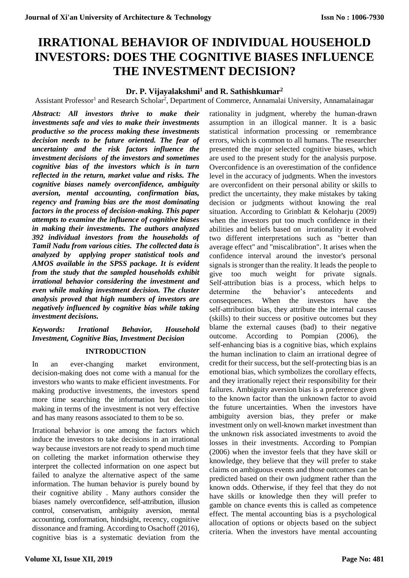# **IRRATIONAL BEHAVIOR OF INDIVIDUAL HOUSEHOLD INVESTORS: DOES THE COGNITIVE BIASES INFLUENCE THE INVESTMENT DECISION?**

# **Dr. P. Vijayalakshmi<sup>1</sup> and R. Sathishkumar<sup>2</sup>**

Assistant Professor<sup>1</sup> and Research Scholar<sup>2</sup>, Department of Commerce, Annamalai University, Annamalainagar

*Abstract: All investors thrive to make their investments safe and vies to make their investments productive so the process making these investments decision needs to be future oriented. The fear of uncertainty and the risk factors influence the investment decisions of the investors and sometimes cognitive bias of the investors which is in turn reflected in the return, market value and risks. The cognitive biases namely overconfidence, ambiguity aversion, mental accounting, confirmation bias, regency and framing bias are the most dominating factors in the process of decision-making. This paper attempts to examine the influence of cognitive biases in making their investments. The authors analyzed 392 individual investors from the households of Tamil Nadu from various cities. The collected data is analyzed by applying proper statistical tools and AMOS available in the SPSS package. It is evident from the study that the sampled households exhibit irrational behavior considering the investment and even while making investment decision. The cluster analysis proved that high numbers of investors are negatively influenced by cognitive bias while taking investment decisions.*

# *Keywords: Irrational Behavior, Household Investment, Cognitive Bias, Investment Decision*

# **INTRODUCTION**

In an ever-changing market environment, decision-making does not come with a manual for the investors who wants to make efficient investments. For making productive investments, the investors spend more time searching the information but decision making in terms of the investment is not very effective and has many reasons associated to them to be so.

Irrational behavior is one among the factors which induce the investors to take decisions in an irrational way because investors are not ready to spend much time on colleting the market information otherwise they interpret the collected information on one aspect but failed to analyze the alternative aspect of the same information. The human behavior is purely bound by their cognitive ability . Many authors consider the biases namely overconfidence, self-attribution, illusion control, conservatism, ambiguity aversion, mental accounting, conformation, hindsight, recency, cognitive dissonance and framing. According to Osachoff (2016), cognitive bias is a systematic deviation from the

rationality in judgment, whereby the human-drawn assumption in an illogical manner. It is a basic statistical information processing or remembrance errors, which is common to all humans. The researcher presented the major selected cognitive biases, which are used to the present study for the analysis purpose. Overconfidence is an overestimation of the confidence level in the accuracy of judgments. When the investors are overconfident on their personal ability or skills to predict the uncertainty, they make mistakes by taking decision or judgments without knowing the real situation. According to Grinblatt & Keloharju (2009) when the investors put too much confidence in their abilities and beliefs based on irrationality it evolved two different interpretations such as "better than average effect" and "miscalibration". It arises when the confidence interval around the investor's personal signals is stronger than the reality. It leads the people to give too much weight for private signals. Self-attribution bias is a process, which helps to determine the behavior's antecedents and consequences. When the investors have the self-attribution bias, they attribute the internal causes (skills) to their success or positive outcomes but they blame the external causes (bad) to their negative outcome. According to Pompian (2006), the self-enhancing bias is a cognitive bias, which explains the human inclination to claim an irrational degree of credit for their success, but the self-protecting bias is an emotional bias, which symbolizes the corollary effects, and they irrationally reject their responsibility for their failures. Ambiguity aversion bias is a preference given to the known factor than the unknown factor to avoid the future uncertainties. When the investors have ambiguity aversion bias, they prefer or make investment only on well-known market investment than the unknown risk associated investments to avoid the losses in their investments. According to Pompian (2006) when the investor feels that they have skill or knowledge, they believe that they will prefer to stake claims on ambiguous events and those outcomes can be predicted based on their own judgment rather than the known odds. Otherwise, if they feel that they do not have skills or knowledge then they will prefer to gamble on chance events this is called as competence effect. The mental accounting bias is a psychological allocation of options or objects based on the subject criteria. When the investors have mental accounting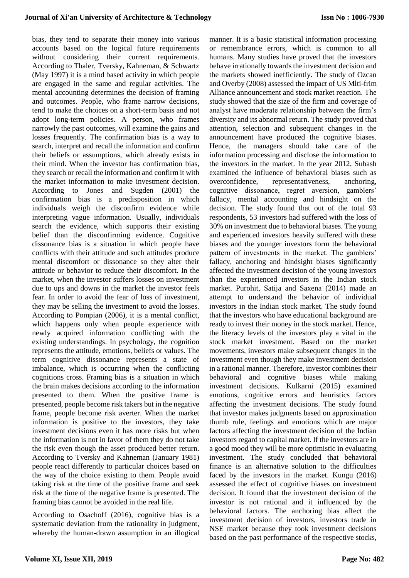bias, they tend to separate their money into various accounts based on the logical future requirements without considering their current requirements. According to Thaler, Tversky, Kahneman, & Schwartz (May 1997) it is a mind based activity in which people are engaged in the same and regular activities. The mental accounting determines the decision of framing and outcomes. People, who frame narrow decisions, tend to make the choices on a short-term basis and not adopt long-term policies. A person, who frames narrowly the past outcomes, will examine the gains and losses frequently. The confirmation bias is a way to search, interpret and recall the information and confirm their beliefs or assumptions, which already exists in their mind. When the investor has confirmation bias, they search or recall the information and confirm it with the market information to make investment decision. According to Jones and Sugden (2001) the confirmation bias is a predisposition in which individuals weigh the disconfirm evidence while interpreting vague information. Usually, individuals search the evidence, which supports their existing belief than the disconfirming evidence. Cognitive dissonance bias is a situation in which people have conflicts with their attitude and such attitudes produce mental discomfort or dissonance so they alter their attitude or behavior to reduce their discomfort. In the market, when the investor suffers losses on investment due to ups and downs in the market the investor feels fear. In order to avoid the fear of loss of investment, they may be selling the investment to avoid the losses. According to Pompian (2006), it is a mental conflict, which happens only when people experience with newly acquired information conflicting with the existing understandings. In psychology, the cognition represents the attitude, emotions, beliefs or values. The term cognitive dissonance represents a state of imbalance, which is occurring when the conflicting cognitions cross. Framing bias is a situation in which the brain makes decisions according to the information presented to them. When the positive frame is presented, people become risk takers but in the negative frame, people become risk averter. When the market information is positive to the investors, they take investment decisions even it has more risks but when the information is not in favor of them they do not take the risk even though the asset produced better return. According to Tversky and Kahneman (January 1981) people react differently to particular choices based on the way of the choice existing to them. People avoid taking risk at the time of the positive frame and seek risk at the time of the negative frame is presented. The framing bias cannot be avoided in the real life.

According to Osachoff (2016), cognitive bias is a systematic deviation from the rationality in judgment, whereby the human-drawn assumption in an illogical manner. It is a basic statistical information processing or remembrance errors, which is common to all humans. Many studies have proved that the investors behave irrationally towards the investment decision and the markets showed inefficiently. The study of Ozcan and Overby (2008) assessed the impact of US Mlti-frim Alliance announcement and stock market reaction. The study showed that the size of the firm and coverage of analyst have moderate relationship between the firm's diversity and its abnormal return. The study proved that attention, selection and subsequent changes in the announcement have produced the cognitive biases. Hence, the managers should take care of the information processing and disclose the information to the investors in the market. In the year 2012, Subash examined the influence of behavioral biases such as overconfidence, representativeness, anchoring, cognitive dissonance, regret aversion, gamblers' fallacy, mental accounting and hindsight on the decision. The study found that out of the total 93 respondents, 53 investors had suffered with the loss of 30% on investment due to behavioral biases. The young and experienced investors heavily suffered with these biases and the younger investors form the behavioral pattern of investments in the market. The gamblers' fallacy, anchoring and hindsight biases significantly affected the investment decision of the young investors than the experienced investors in the Indian stock market. Purohit, Satija and Saxena (2014) made an attempt to understand the behavior of individual investors in the Indian stock market. The study found that the investors who have educational background are ready to invest their money in the stock market. Hence, the literacy levels of the investors play a vital in the stock market investment. Based on the market movements, investors make subsequent changes in the investment even though they make investment decision in a rational manner. Therefore, investor combines their behavioral and cognitive biases while making investment decisions. Kulkarni (2015) examined emotions, cognitive errors and heuristics factors affecting the investment decisions. The study found that investor makes judgments based on approximation thumb rule, feelings and emotions which are major factors affecting the investment decision of the Indian investors regard to capital market. If the investors are in a good mood they will be more optimistic in evaluating investment. The study concluded that behavioral finance is an alternative solution to the difficulties faced by the investors in the market. Kungu (2016) assessed the effect of cognitive biases on investment decision. It found that the investment decision of the investor is not rational and it influenced by the behavioral factors. The anchoring bias affect the investment decision of investors, investors trade in NSE market because they took investment decisions based on the past performance of the respective stocks,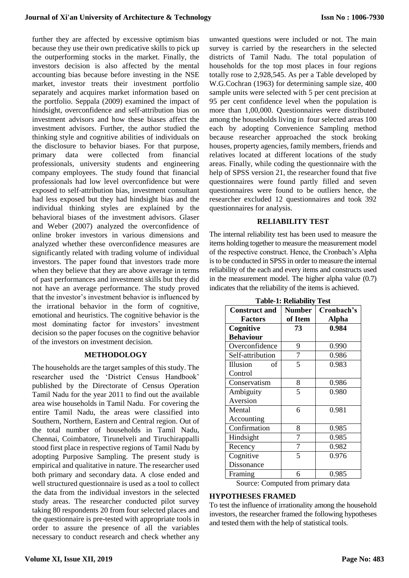further they are affected by excessive optimism bias because they use their own predicative skills to pick up the outperforming stocks in the market. Finally, the investors decision is also affected by the mental accounting bias because before investing in the NSE market, investor treats their investment portfolio separately and acquires market information based on the portfolio. Seppala (2009) examined the impact of hindsight, overconfidence and self-attribution bias on investment advisors and how these biases affect the investment advisors. Further, the author studied the thinking style and cognitive abilities of individuals on the disclosure to behavior biases. For that purpose, primary data were collected from financial professionals, university students and engineering company employees. The study found that financial professionals had low level overconfidence but were exposed to self-attribution bias, investment consultant had less exposed but they had hindsight bias and the individual thinking styles are explained by the behavioral biases of the investment advisors. Glaser and Weber (2007) analyzed the overconfidence of online broker investors in various dimensions and analyzed whether these overconfidence measures are significantly related with trading volume of individual investors. The paper found that investors trade more when they believe that they are above average in terms of past performances and investment skills but they did not have an average performance. The study proved that the investor's investment behavior is influenced by the irrational behavior in the form of cognitive, emotional and heuristics. The cognitive behavior is the most dominating factor for investors' investment decision so the paper focuses on the cognitive behavior of the investors on investment decision.

#### **METHODOLOGY**

The households are the target samples of this study. The researcher used the 'District Census Handbook' published by the Directorate of Census Operation Tamil Nadu for the year 2011 to find out the available area wise households in Tamil Nadu. For covering the entire Tamil Nadu, the areas were classified into Southern, Northern, Eastern and Central region. Out of the total number of households in Tamil Nadu, Chennai, Coimbatore, Tirunelveli and Tiruchirappalli stood first place in respective regions of Tamil Nadu by adopting Purposive Sampling. The present study is empirical and qualitative in nature. The researcher used both primary and secondary data. A close ended and well structured questionnaire is used as a tool to collect the data from the individual investors in the selected study areas. The researcher conducted pilot survey taking 80 respondents 20 from four selected places and the questionnaire is pre-tested with appropriate tools in order to assure the presence of all the variables necessary to conduct research and check whether any

unwanted questions were included or not. The main survey is carried by the researchers in the selected districts of Tamil Nadu. The total population of households for the top most places in four regions totally rose to 2,928,545. As per a Table developed by W.G.Cochran (1963) for determining sample size, 400 sample units were selected with 5 per cent precision at 95 per cent confidence level when the population is more than 1,00,000. Questionnaires were distributed among the households living in four selected areas 100 each by adopting Convenience Sampling method because researcher approached the stock broking houses, property agencies, family members, friends and relatives located at different locations of the study areas. Finally, while coding the questionnaire with the help of SPSS version 21, the researcher found that five questionnaires were found partly filled and seven questionnaires were found to be outliers hence, the researcher excluded 12 questionnaires and took 392 questionnaires for analysis.

#### **RELIABILITY TEST**

The internal reliability test has been used to measure the items holding together to measure the measurement model of the respective construct. Hence, the Cronbach's Alpha is to be conducted in SPSS in order to measure the internal reliability of the each and every items and constructs used in the measurement model. The higher alpha value (0.7) indicates that the reliability of the items is achieved.

|                                    | Tabit-T. Willability | 1 LJ L       |  |  |  |  |
|------------------------------------|----------------------|--------------|--|--|--|--|
| <b>Construct and</b>               | <b>Number</b>        | Cronbach's   |  |  |  |  |
| <b>Factors</b>                     | of Item              | <b>Alpha</b> |  |  |  |  |
| Cognitive                          | 73                   | 0.984        |  |  |  |  |
| <b>Behaviour</b>                   |                      |              |  |  |  |  |
| Overconfidence                     | 9                    | 0.990        |  |  |  |  |
| Self-attribution                   | 7                    | 0.986        |  |  |  |  |
| Illusion<br>οf                     | 5                    | 0.983        |  |  |  |  |
| Control                            |                      |              |  |  |  |  |
| Conservatism                       | 8                    | 0.986        |  |  |  |  |
| Ambiguity                          | 5                    | 0.980        |  |  |  |  |
| Aversion                           |                      |              |  |  |  |  |
| Mental                             | 6                    | 0.981        |  |  |  |  |
| Accounting                         |                      |              |  |  |  |  |
| Confirmation                       | 8                    | 0.985        |  |  |  |  |
| Hindsight                          | 7                    | 0.985        |  |  |  |  |
| Recency                            | 7                    | 0.982        |  |  |  |  |
| Cognitive                          | 5                    | 0.976        |  |  |  |  |
| Dissonance                         |                      |              |  |  |  |  |
| Framing                            | 6                    | 0.985        |  |  |  |  |
| Source: Computed from primary data |                      |              |  |  |  |  |

| <b>Table-1: Reliability Test</b> |
|----------------------------------|
|----------------------------------|

Source: Computed from primary data

#### **HYPOTHESES FRAMED**

To test the influence of irrationality among the household investors, the researcher framed the following hypotheses and tested them with the help of statistical tools.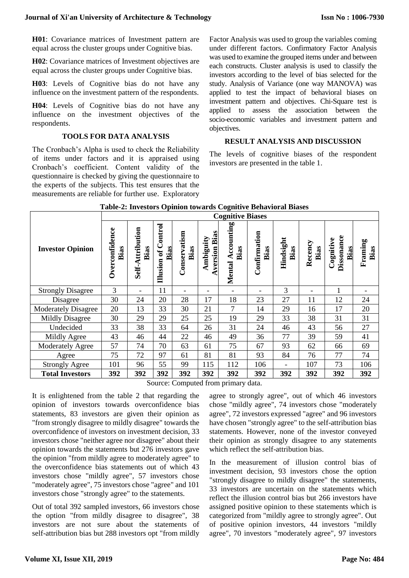**H01**: Covariance matrices of Investment pattern are equal across the cluster groups under Cognitive bias.

**H02**: Covariance matrices of Investment objectives are equal across the cluster groups under Cognitive bias.

**H03**: Levels of Cognitive bias do not have any influence on the investment pattern of the respondents.

**H04**: Levels of Cognitive bias do not have any influence on the investment objectives of the respondents.

#### **TOOLS FOR DATA ANALYSIS**

The Cronbach's Alpha is used to check the Reliability of items under factors and it is appraised using Cronbach's coefficient. Content validity of the questionnaire is checked by giving the questionnaire to the experts of the subjects. This test ensures that the measurements are reliable for further use. Exploratory Factor Analysis was used to group the variables coming under different factors. Confirmatory Factor Analysis was used to examine the grouped items under and between each constructs. Cluster analysis is used to classify the investors according to the level of bias selected for the study. Analysis of Variance (one way MANOVA) was applied to test the impact of behavioral biases on investment pattern and objectives. Chi-Square test is applied to assess the association between the socio-economic variables and investment pattern and objectives.

## **RESULT ANALYSIS AND DISCUSSION**

The levels of cognitive biases of the respondent investors are presented in the table 1.

|                            |                        | Table 2. Investors Opinion towards Cognitive Denavioral Diases<br><b>Cognitive Biases</b> |                                              |                      |                              |                                  |                       |                   |                 |                                 |                 |  |
|----------------------------|------------------------|-------------------------------------------------------------------------------------------|----------------------------------------------|----------------------|------------------------------|----------------------------------|-----------------------|-------------------|-----------------|---------------------------------|-----------------|--|
| <b>Investor Opinion</b>    | Overconfidence<br>Bias | Self-Attribution<br>Bias                                                                  | ontrol<br>Bias<br>$\mathfrak{b}$<br>Illusion | Conservatism<br>Bias | Bias<br>Ambiguity<br>version | ccounting<br>Bias<br>⋖<br>Mental | Confirmation<br>Bias  | Hindsight<br>Bias | Recency<br>Bias | Dissonance<br>Cognitive<br>Bias | Framing<br>Bias |  |
| <b>Strongly Disagree</b>   | 3                      |                                                                                           | 11                                           |                      |                              |                                  | -                     | 3                 |                 |                                 |                 |  |
| Disagree                   | 30                     | 24                                                                                        | 20                                           | 28                   | 17                           | 18                               | 23                    | 27                | 11              | 12                              | 24              |  |
| <b>Moderately Disagree</b> | 20                     | 13                                                                                        | 33                                           | 30                   | 21                           | $\overline{7}$                   | 14                    | 29                | 16              | 17                              | 20              |  |
| <b>Mildly Disagree</b>     | 30                     | 29                                                                                        | 29                                           | 25                   | 25                           | 19                               | 29                    | 33                | 38              | 31                              | 31              |  |
| Undecided                  | 33                     | 38                                                                                        | 33                                           | 64                   | 26                           | 31                               | 24                    | 46                | 43              | 56                              | 27              |  |
| Mildly Agree               | 43                     | 46                                                                                        | 44                                           | 22                   | 46                           | 49                               | 36                    | 77                | 39              | 59                              | 41              |  |
| Moderately Agree           | 57                     | 74                                                                                        | 70                                           | 63                   | 61                           | 75                               | 67                    | 93                | 62              | 66                              | 69              |  |
| Agree                      | 75                     | 72                                                                                        | 97                                           | 61                   | 81                           | 81                               | 93                    | 84                | 76              | 77                              | 74              |  |
| <b>Strongly Agree</b>      | 101                    | 96                                                                                        | 55                                           | 99                   | 115                          | 112                              | 106                   |                   | 107             | 73                              | 106             |  |
| <b>Total Investors</b>     | 392                    | 392<br>$\sim$                                                                             | 392                                          | 392<br>$\sim$        | 392<br>1 <sup>c</sup>        | 392                              | 392<br>1 <sup>1</sup> | 392               | 392             | 392                             | 392             |  |

|  | Table-2: Investors Opinion towards Cognitive Behavioral Biases |  |
|--|----------------------------------------------------------------|--|
|--|----------------------------------------------------------------|--|

Source: Computed from primary data.

It is enlightened from the table 2 that regarding the opinion of investors towards overconfidence bias statements, 83 investors are given their opinion as "from strongly disagree to mildly disagree" towards the overconfidence of investors on investment decision, 33 investors chose "neither agree nor disagree" about their opinion towards the statements but 276 investors gave the opinion "from mildly agree to moderately agree" to the overconfidence bias statements out of which 43 investors chose "mildly agree", 57 investors chose "moderately agree", 75 investors chose "agree" and 101 investors chose "strongly agree" to the statements.

Out of total 392 sampled investors, 66 investors chose the option "from mildly disagree to disagree", 38 investors are not sure about the statements of self-attribution bias but 288 investors opt "from mildly

agree to strongly agree", out of which 46 investors chose "mildly agree", 74 investors chose "moderately agree", 72 investors expressed "agree" and 96 investors have chosen "strongly agree" to the self-attribution bias statements. However, none of the investor conveyed their opinion as strongly disagree to any statements which reflect the self-attribution bias.

In the measurement of illusion control bias of investment decision, 93 investors chose the option "strongly disagree to mildly disagree" the statements, 33 investors are uncertain on the statements which reflect the illusion control bias but 266 investors have assigned positive opinion to these statements which is categorized from "mildly agree to strongly agree". Out of positive opinion investors, 44 investors "mildly agree", 70 investors "moderately agree", 97 investors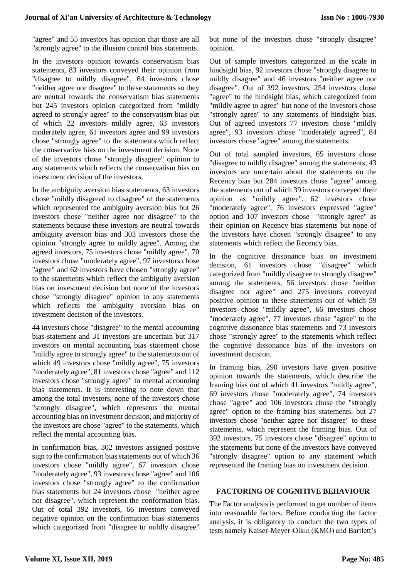"agree" and 55 investors has opinion that those are all "strongly agree" to the illusion control bias statements.

In the investors opinion towards conservatism bias statements, 83 investors conveyed their opinion from "disagree to mildly disagree", 64 investors chose "neither agree nor disagree" to these statements so they are neutral towards the conservatism bias statements but 245 investors opinion categorized from "mildly agreed to strongly agree" to the conservatism bias out of which 22 investors mildly agree, 63 investors moderately agree, 61 investors agree and 99 investors chose "strongly agree" to the statements which reflect the conservative bias on the investment decision. None of the investors chose "strongly disagree" opinion to any statements which reflects the conservatism bias on investment decision of the investors.

In the ambiguity aversion bias statements, 63 investors chose "mildly disagreed to disagree" of the statements which represented the ambiguity aversion bias but 26 investors chose "neither agree nor disagree" to the statements because these investors are neutral towards ambiguity aversion bias and 303 investors chose the opinion "strongly agree to mildly agree". Among the agreed investors, 75 investors chose "mildly agree", 70 investors chose "moderately agree", 97 investors chose "agree" and 62 investors have chosen "strongly agree" to the statements which reflect the ambiguity aversion bias on investment decision but none of the investors chose "strongly disagree" opinion to any statements which reflects the ambiguity aversion bias on investment decision of the investors.

44 investors chose "disagree" to the mental accounting bias statement and 31 investors are uncertain but 317 investors on mental accounting bias statement chose "mildly agree to strongly agree" to the statements out of which 49 investors chose "mildly agree", 75 investors "moderately agree", 81 investors chose "agree" and 112 investors chose "strongly agree" to mental accounting bias statements. It is interesting to note down that among the total investors, none of the investors chose "strongly disagree", which represents the mental accounting bias on investment decision, and majority of the investors are chose "agree" to the statements, which reflect the mental accounting bias.

In confirmation bias, 302 investors assigned positive sign to the confirmation bias statements out of which 36 investors chose "mildly agree", 67 investors chose "moderately agree", 93 investors chose "agree" and 106 investors chose "strongly agree" to the confirmation bias statements but 24 investors chose "neither agree nor disagree", which represent the conformation bias. Out of total 392 investors, 66 investors conveyed negative opinion on the confirmation bias statements which categorized from "disagree to mildly disagree" but none of the investors chose "strongly disagree" opinion.

Out of sample investors categorized in the scale in hindsight bias, 92 investors chose "strongly disagree to mildly disagree" and 46 investors "neither agree nor disagree". Out of 392 investors, 254 investors chose "agree" to the hindsight bias, which categorized from "mildly agree to agree" but none of the investors chose "strongly agree" to any statements of hindsight bias. Out of agreed investors 77 investors chose "mildly agree", 93 investors chose "moderately agreed", 84 investors chose "agree" among the statements.

Out of total sampled investors, 65 investors chose "disagree to mildly disagree" among the statements, 43 investors are uncertain about the statements on the Recency bias but 284 investors chose "agree" among the statements out of which 39 investors conveyed their opinion as "mildly agree", 62 investors chose "moderately agree", 76 investors expressed "agree" option and 107 investors chose "strongly agree" as their opinion on Recency bias statements but none of the investors have chosen "strongly disagree" to any statements which reflect the Recency bias.

In the cognitive dissonance bias on investment decision, 61 investors chose "disagree" which categorized from "mildly disagree to strongly disagree" among the statements, 56 investors chose "neither disagree nor agree" and 275 investors conveyed positive opinion to these statements out of which 59 investors chose "mildly agree", 66 investors chose "moderately agree", 77 investors chose "agree" to the cognitive dissonance bias statements and 73 investors chose "strongly agree" to the statements which reflect the cognitive dissonance bias of the investors on investment decision.

In framing bias, 290 investors have given positive opinion towards the statements, which describe the framing bias out of which 41 investors "mildly agree", 69 investors chose "moderately agree", 74 investors chose "agree" and 106 investors chose the "strongly agree" option to the framing bias statements, but 27 investors chose "neither agree nor disagree" to these statements, which represent the framing bias. Out of 392 investors, 75 investors chose "disagree" option to the statements but none of the investors have conveyed "strongly disagree" option to any statement which represented the framing bias on investment decision.

# **FACTORING OF COGNITIVE BEHAVIOUR**

The Factor analysis is performed to get number of items into reasonable factors. Before conducting the factor analysis, it is obligatory to conduct the two types of tests namely Kaiser-Meyer-Olkin (KMO) and Bartlett's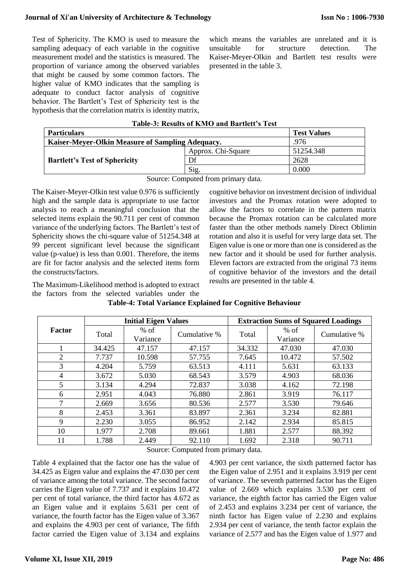Test of Sphericity. The KMO is used to measure the sampling adequacy of each variable in the cognitive measurement model and the statistics is measured. The proportion of variance among the observed variables that might be caused by some common factors. The higher value of KMO indicates that the sampling is adequate to conduct factor analysis of cognitive behavior. The Bartlett's Test of Sphericity test is the hypothesis that the correlation matrix is identity matrix, which means the variables are unrelated and it is unsuitable for structure detection. The Kaiser-Meyer-Olkin and Bartlett test results were presented in the table 3.

| Table-3: Results of KMO and Bartlett's Test |  |
|---------------------------------------------|--|
|                                             |  |

| <b>Particulars</b>                               | <b>Test Values</b> |           |
|--------------------------------------------------|--------------------|-----------|
| Kaiser-Meyer-Olkin Measure of Sampling Adequacy. | .976               |           |
|                                                  | Approx. Chi-Square | 51254.348 |
| <b>Bartlett's Test of Sphericity</b>             | Df                 | 2628      |
|                                                  | Sig.               | 0.000     |

Source: Computed from primary data.

The Kaiser-Meyer-Olkin test value 0.976 is sufficiently high and the sample data is appropriate to use factor analysis to reach a meaningful conclusion that the selected items explain the 90.711 per cent of common variance of the underlying factors. The Bartlett's test of Sphericity shows the chi-square value of 51254.348 at 99 percent significant level because the significant value (p-value) is less than 0.001. Therefore, the items are fit for factor analysis and the selected items form the constructs/factors.

cognitive behavior on investment decision of individual investors and the Promax rotation were adopted to allow the factors to correlate in the pattern matrix because the Promax rotation can be calculated more faster than the other methods namely Direct Oblimin rotation and also it is useful for very large data set. The Eigen value is one or more than one is considered as the new factor and it should be used for further analysis. Eleven factors are extracted from the original 73 items of cognitive behavior of the investors and the detail results are presented in the table 4.

The Maximum-Likelihood method is adopted to extract the factors from the selected variables under the

|                |        | <b>Initial Eigen Values</b> |                     | <b>Extraction Sums of Squared Loadings</b> |                    |              |  |  |  |  |
|----------------|--------|-----------------------------|---------------------|--------------------------------------------|--------------------|--------------|--|--|--|--|
| <b>Factor</b>  | Total  | $%$ of<br>Variance          | Cumulative %        | Total                                      | $%$ of<br>Variance | Cumulative % |  |  |  |  |
|                | 34.425 | 47.157                      | 47.157              | 34.332                                     | 47.030             | 47.030       |  |  |  |  |
| $\overline{2}$ | 7.737  | 10.598                      | 57.755              | 7.645                                      | 10.472             | 57.502       |  |  |  |  |
| 3              | 4.204  | 5.759                       | 63.513              | 4.111                                      | 5.631              | 63.133       |  |  |  |  |
| 4              | 3.672  | 5.030                       | 68.543              | 3.579                                      | 4.903              | 68.036       |  |  |  |  |
| 5              | 3.134  | 4.294                       | 72.837              | 3.038                                      | 4.162              | 72.198       |  |  |  |  |
| 6              | 2.951  | 4.043                       | 76.880              | 2.861                                      | 3.919              | 76.117       |  |  |  |  |
| 7              | 2.669  | 3.656                       | 80.536              | 2.577                                      | 3.530              | 79.646       |  |  |  |  |
| 8              | 2.453  | 3.361                       | 83.897              | 2.361                                      | 3.234              | 82.881       |  |  |  |  |
| 9              | 2.230  | 3.055                       | 86.952              | 2.142                                      | 2.934              | 85.815       |  |  |  |  |
| 10             | 1.977  | 2.708                       | 89.661              | 1.881                                      | 2.577              | 88.392       |  |  |  |  |
| 11             | 1.788  | 2.449                       | 92.110              | 1.692                                      | 2.318              | 90.711       |  |  |  |  |
|                |        | $\sim$                      | $\sim$<br>$\sim$ 10 | $\mathbf{1}$                               |                    |              |  |  |  |  |

**Table-4: Total Variance Explained for Cognitive Behaviour**

Source: Computed from primary data.

Table 4 explained that the factor one has the value of 34.425 as Eigen value and explains the 47.030 per cent of variance among the total variance. The second factor carries the Eigen value of 7.737 and it explains 10.472 per cent of total variance, the third factor has 4.672 as an Eigen value and it explains 5.631 per cent of variance, the fourth factor has the Eigen value of 3.367 and explains the 4.903 per cent of variance, The fifth factor carried the Eigen value of 3.134 and explains 4.903 per cent variance, the sixth patterned factor has the Eigen value of 2.951 and it explains 3.919 per cent of variance. The seventh patterned factor has the Eigen value of 2.669 which explains 3.530 per cent of variance, the eighth factor has carried the Eigen value of 2.453 and explains 3.234 per cent of variance, the ninth factor has Eigen value of 2.230 and explains 2.934 per cent of variance, the tenth factor explain the variance of 2.577 and has the Eigen value of 1.977 and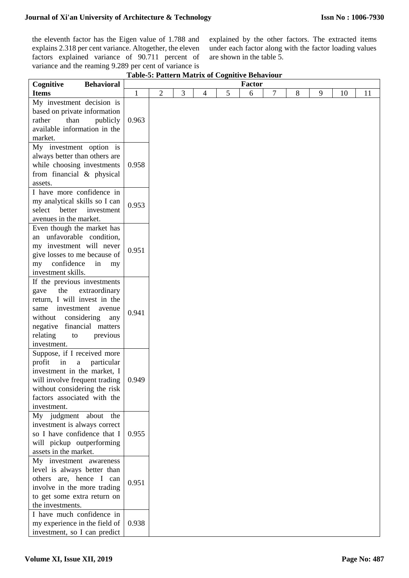the eleventh factor has the Eigen value of 1.788 and explains 2.318 per cent variance. Altogether, the eleven factors explained variance of 90.711 percent of variance and the reaming 9.289 per cent of variance is

explained by the other factors. The extracted items under each factor along with the factor loading values are shown in the table 5.

| Cognitive<br><b>Behavioral</b>                                                                                                                                                                                                          |              |                |   |   |   | Factor |   |   |   |    |    |
|-----------------------------------------------------------------------------------------------------------------------------------------------------------------------------------------------------------------------------------------|--------------|----------------|---|---|---|--------|---|---|---|----|----|
| <b>Items</b>                                                                                                                                                                                                                            | $\mathbf{1}$ | $\overline{2}$ | 3 | 4 | 5 | 6      | 7 | 8 | 9 | 10 | 11 |
| My investment decision is<br>based on private information<br>rather<br>than<br>publicly<br>available information in the<br>market.                                                                                                      | 0.963        |                |   |   |   |        |   |   |   |    |    |
| My investment option is<br>always better than others are                                                                                                                                                                                |              |                |   |   |   |        |   |   |   |    |    |
| while choosing investments<br>from financial & physical<br>assets.                                                                                                                                                                      | 0.958        |                |   |   |   |        |   |   |   |    |    |
| I have more confidence in<br>my analytical skills so I can<br>select<br>better<br>investment<br>avenues in the market.                                                                                                                  | 0.953        |                |   |   |   |        |   |   |   |    |    |
| Even though the market has<br>an unfavorable condition,<br>my investment will never<br>give losses to me because of<br>confidence<br>in<br>my<br>my<br>investment skills.                                                               | 0.951        |                |   |   |   |        |   |   |   |    |    |
| If the previous investments<br>the<br>extraordinary<br>gave<br>return, I will invest in the<br>investment<br>same<br>avenue<br>considering<br>without<br>any<br>negative financial matters<br>relating<br>previous<br>to<br>investment. | 0.941        |                |   |   |   |        |   |   |   |    |    |
| Suppose, if I received more<br>profit<br>in<br>$\mathbf{a}$<br>particular<br>investment in the market, I<br>will involve frequent trading<br>without considering the risk<br>factors associated with the<br>investment.                 | 0.949        |                |   |   |   |        |   |   |   |    |    |
| My judgment about the<br>investment is always correct<br>so I have confidence that I<br>will pickup outperforming<br>assets in the market.                                                                                              | 0.955        |                |   |   |   |        |   |   |   |    |    |
| My investment awareness<br>level is always better than<br>others are, hence I can<br>involve in the more trading<br>to get some extra return on<br>the investments.                                                                     | 0.951        |                |   |   |   |        |   |   |   |    |    |
| I have much confidence in<br>my experience in the field of<br>investment, so I can predict                                                                                                                                              | 0.938        |                |   |   |   |        |   |   |   |    |    |

**Table-5: Pattern Matrix of Cognitive Behaviour**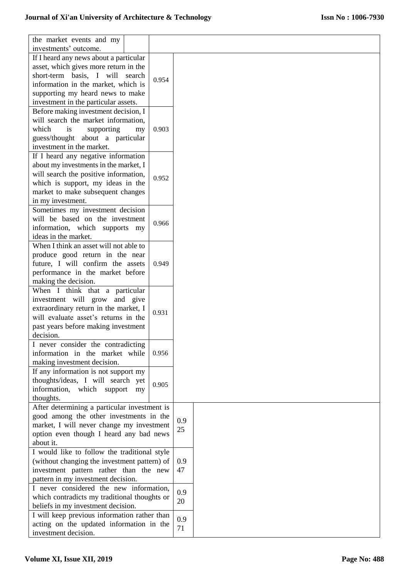| the market events and my                     |       |     |  |
|----------------------------------------------|-------|-----|--|
| investments' outcome.                        |       |     |  |
| If I heard any news about a particular       |       |     |  |
| asset, which gives more return in the        |       |     |  |
| short-term basis, I will search              | 0.954 |     |  |
| information in the market, which is          |       |     |  |
| supporting my heard news to make             |       |     |  |
| investment in the particular assets.         |       |     |  |
| Before making investment decision, I         |       |     |  |
| will search the market information,          |       |     |  |
| which<br>is<br>supporting<br>my              | 0.903 |     |  |
| guess/thought about a particular             |       |     |  |
| investment in the market.                    |       |     |  |
| If I heard any negative information          |       |     |  |
| about my investments in the market, I        |       |     |  |
| will search the positive information,        |       |     |  |
| which is support, my ideas in the            | 0.952 |     |  |
| market to make subsequent changes            |       |     |  |
| in my investment.                            |       |     |  |
| Sometimes my investment decision             |       |     |  |
| will be based on the investment              |       |     |  |
| information, which supports my               | 0.966 |     |  |
| ideas in the market.                         |       |     |  |
| When I think an asset will not able to       |       |     |  |
|                                              |       |     |  |
| produce good return in the near              | 0.949 |     |  |
| future, I will confirm the assets            |       |     |  |
| performance in the market before             |       |     |  |
| making the decision.                         |       |     |  |
| When I think that a particular               |       |     |  |
| investment will grow and give                |       |     |  |
| extraordinary return in the market, I        | 0.931 |     |  |
| will evaluate asset's returns in the         |       |     |  |
| past years before making investment          |       |     |  |
| decision.                                    |       |     |  |
| I never consider the contradicting           |       |     |  |
| information in the market while              | 0.956 |     |  |
| making investment decision.                  |       |     |  |
| If any information is not support my         |       |     |  |
| thoughts/ideas, I will search yet            | 0.905 |     |  |
| information, which support<br>my             |       |     |  |
| thoughts.                                    |       |     |  |
| After determining a particular investment is |       |     |  |
| good among the other investments in the      |       | 0.9 |  |
| market, I will never change my investment    |       | 25  |  |
| option even though I heard any bad news      |       |     |  |
| about it.                                    |       |     |  |
| I would like to follow the traditional style |       |     |  |
| (without changing the investment pattern) of |       | 0.9 |  |
| investment pattern rather than the new       |       | 47  |  |
| pattern in my investment decision.           |       |     |  |
| I never considered the new information,      |       | 0.9 |  |
| which contradicts my traditional thoughts or |       | 20  |  |
| beliefs in my investment decision.           |       |     |  |
| I will keep previous information rather than |       | 0.9 |  |
| acting on the updated information in the     |       | 71  |  |
| investment decision.                         |       |     |  |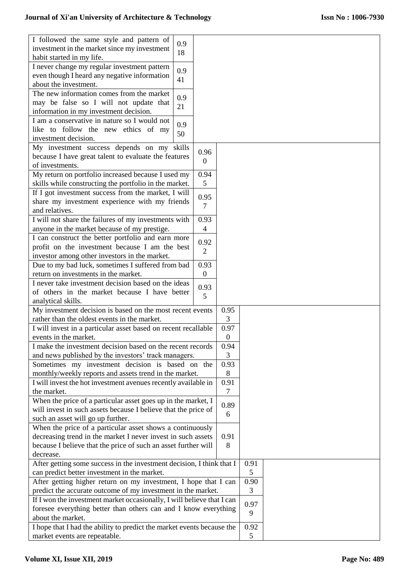| I followed the same style and pattern of                                                                |                  |                  |           |  |  |
|---------------------------------------------------------------------------------------------------------|------------------|------------------|-----------|--|--|
| 0.9<br>investment in the market since my investment                                                     |                  |                  |           |  |  |
| 18<br>habit started in my life.                                                                         |                  |                  |           |  |  |
| I never change my regular investment pattern                                                            |                  |                  |           |  |  |
| 0.9<br>even though I heard any negative information                                                     |                  |                  |           |  |  |
| 41<br>about the investment.                                                                             |                  |                  |           |  |  |
| The new information comes from the market                                                               |                  |                  |           |  |  |
| 0.9<br>may be false so I will not update that                                                           |                  |                  |           |  |  |
| 21<br>information in my investment decision.                                                            |                  |                  |           |  |  |
| I am a conservative in nature so I would not                                                            |                  |                  |           |  |  |
| 0.9<br>like to follow the new ethics of my                                                              |                  |                  |           |  |  |
| 50<br>investment decision.                                                                              |                  |                  |           |  |  |
| My investment success depends on my skills                                                              |                  |                  |           |  |  |
| because I have great talent to evaluate the features                                                    | 0.96             |                  |           |  |  |
| of investments.                                                                                         | $\theta$         |                  |           |  |  |
| My return on portfolio increased because I used my                                                      | 0.94             |                  |           |  |  |
| skills while constructing the portfolio in the market.                                                  | 5                |                  |           |  |  |
| If I got investment success from the market, I will                                                     |                  |                  |           |  |  |
| share my investment experience with my friends                                                          | 0.95             |                  |           |  |  |
| and relatives.                                                                                          | 7                |                  |           |  |  |
| I will not share the failures of my investments with                                                    | 0.93             |                  |           |  |  |
| anyone in the market because of my prestige.                                                            | 4                |                  |           |  |  |
| I can construct the better portfolio and earn more                                                      |                  |                  |           |  |  |
| profit on the investment because I am the best                                                          | 0.92             |                  |           |  |  |
|                                                                                                         | 2                |                  |           |  |  |
| investor among other investors in the market.                                                           | 0.93             |                  |           |  |  |
| Due to my bad luck, sometimes I suffered from bad                                                       | $\boldsymbol{0}$ |                  |           |  |  |
| return on investments in the market.<br>I never take investment decision based on the ideas             |                  |                  |           |  |  |
|                                                                                                         | 0.93             |                  |           |  |  |
| of others in the market because I have better                                                           | 5                |                  |           |  |  |
| analytical skills.                                                                                      |                  |                  |           |  |  |
| My investment decision is based on the most recent events                                               |                  | 0.95             |           |  |  |
| rather than the oldest events in the market.                                                            |                  | 3                |           |  |  |
| I will invest in a particular asset based on recent recallable                                          |                  | 0.97             |           |  |  |
| events in the market.                                                                                   |                  | $\boldsymbol{0}$ |           |  |  |
| I make the investment decision based on the recent records                                              |                  | 0.94             |           |  |  |
| and news published by the investors' track managers.                                                    |                  | 3                |           |  |  |
| Sometimes my investment decision is based on the                                                        |                  | 0.93             |           |  |  |
| monthly/weekly reports and assets trend in the market.                                                  |                  | 8                |           |  |  |
| I will invest the hot investment avenues recently available in                                          |                  | 0.91             |           |  |  |
| the market.                                                                                             |                  | 7                |           |  |  |
| When the price of a particular asset goes up in the market, I                                           |                  | 0.89             |           |  |  |
| will invest in such assets because I believe that the price of                                          |                  | 6                |           |  |  |
| such an asset will go up further.                                                                       |                  |                  |           |  |  |
| When the price of a particular asset shows a continuously                                               |                  |                  |           |  |  |
| decreasing trend in the market I never invest in such assets                                            |                  | 0.91             |           |  |  |
| because I believe that the price of such an asset further will                                          |                  | 8                |           |  |  |
| decrease.                                                                                               |                  |                  |           |  |  |
| After getting some success in the investment decision, I think that I                                   |                  | 0.91             |           |  |  |
| can predict better investment in the market.                                                            | 5                |                  |           |  |  |
| After getting higher return on my investment, I hope that I can                                         | 0.90             |                  |           |  |  |
| predict the accurate outcome of my investment in the market.                                            | 3                |                  |           |  |  |
| If I won the investment market occasionally, I will believe that I can                                  |                  |                  | 0.97      |  |  |
| foresee everything better than others can and I know everything                                         |                  |                  |           |  |  |
|                                                                                                         |                  |                  | 9         |  |  |
| about the market.                                                                                       |                  |                  |           |  |  |
| I hope that I had the ability to predict the market events because the<br>market events are repeatable. |                  |                  | 0.92<br>5 |  |  |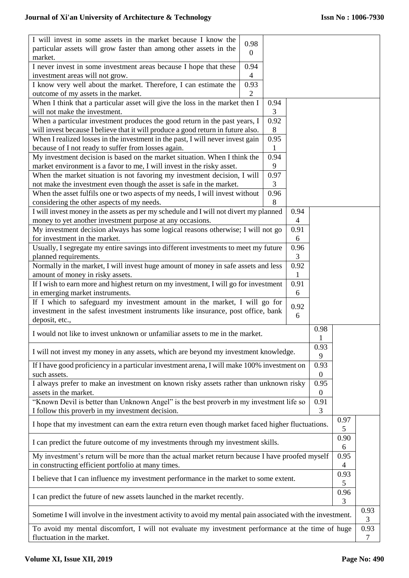| I will invest in some assets in the market because I know the                                              | 0.98             |              |                          |                  |      |      |  |
|------------------------------------------------------------------------------------------------------------|------------------|--------------|--------------------------|------------------|------|------|--|
| particular assets will grow faster than among other assets in the                                          | $\boldsymbol{0}$ |              |                          |                  |      |      |  |
| market.                                                                                                    |                  |              |                          |                  |      |      |  |
| I never invest in some investment areas because I hope that these                                          | 0.94             |              |                          |                  |      |      |  |
| investment areas will not grow.                                                                            | $\overline{4}$   |              |                          |                  |      |      |  |
| I know very well about the market. Therefore, I can estimate the                                           | 0.93             |              |                          |                  |      |      |  |
| outcome of my assets in the market.                                                                        | $\overline{2}$   |              |                          |                  |      |      |  |
| When I think that a particular asset will give the loss in the market then I                               |                  | 0.94         |                          |                  |      |      |  |
| will not make the investment.                                                                              |                  | 3            |                          |                  |      |      |  |
| When a particular investment produces the good return in the past years, I                                 |                  | 0.92         |                          |                  |      |      |  |
| will invest because I believe that it will produce a good return in future also.                           |                  | 8            |                          |                  |      |      |  |
| When I realized losses in the investment in the past, I will never invest gain                             |                  | 0.95         |                          |                  |      |      |  |
| because of I not ready to suffer from losses again.                                                        |                  | $\mathbf{1}$ |                          |                  |      |      |  |
| My investment decision is based on the market situation. When I think the                                  |                  | 0.94         |                          |                  |      |      |  |
| market environment is a favor to me, I will invest in the risky asset.                                     |                  | 9            |                          |                  |      |      |  |
| When the market situation is not favoring my investment decision, I will                                   |                  | 0.97         |                          |                  |      |      |  |
| not make the investment even though the asset is safe in the market.                                       |                  | 3            |                          |                  |      |      |  |
| When the asset fulfils one or two aspects of my needs, I will invest without                               |                  | 0.96         |                          |                  |      |      |  |
| considering the other aspects of my needs.                                                                 |                  | 8            |                          |                  |      |      |  |
| I will invest money in the assets as per my schedule and I will not divert my planned                      |                  |              | 0.94                     |                  |      |      |  |
| money to yet another investment purpose at any occasions.                                                  |                  |              | $\overline{\mathcal{A}}$ |                  |      |      |  |
| My investment decision always has some logical reasons otherwise; I will not go                            |                  |              | 0.91                     |                  |      |      |  |
| for investment in the market.                                                                              |                  |              | 6                        |                  |      |      |  |
| Usually, I segregate my entire savings into different investments to meet my future                        |                  |              | 0.96                     |                  |      |      |  |
| planned requirements.                                                                                      |                  |              | 3                        |                  |      |      |  |
| Normally in the market, I will invest huge amount of money in safe assets and less                         |                  |              | 0.92                     |                  |      |      |  |
|                                                                                                            |                  |              |                          |                  |      |      |  |
| amount of money in risky assets.                                                                           |                  |              | 1                        |                  |      |      |  |
| If I wish to earn more and highest return on my investment, I will go for investment                       |                  |              | 0.91                     |                  |      |      |  |
| 6<br>in emerging market instruments.                                                                       |                  |              |                          |                  |      |      |  |
| If I which to safeguard my investment amount in the market, I will go for                                  |                  |              | 0.92                     |                  |      |      |  |
| investment in the safest investment instruments like insurance, post office, bank                          |                  |              | 6                        |                  |      |      |  |
| deposit, etc.,                                                                                             |                  |              |                          |                  |      |      |  |
| I would not like to invest unknown or unfamiliar assets to me in the market.                               |                  |              |                          | 0.98             |      |      |  |
|                                                                                                            |                  |              |                          | 1                |      |      |  |
| I will not invest my money in any assets, which are beyond my investment knowledge.                        |                  |              |                          | 0.93             |      |      |  |
|                                                                                                            |                  |              |                          | 9                |      |      |  |
| If I have good proficiency in a particular investment arena, I will make 100% investment on                |                  |              |                          | 0.93             |      |      |  |
| such assets.                                                                                               |                  |              |                          | $\boldsymbol{0}$ |      |      |  |
| I always prefer to make an investment on known risky assets rather than unknown risky                      |                  |              |                          | 0.95             |      |      |  |
| assets in the market.                                                                                      |                  |              |                          | $\boldsymbol{0}$ |      |      |  |
| "Known Devil is better than Unknown Angel" is the best proverb in my investment life so<br>0.91            |                  |              |                          |                  |      |      |  |
| I follow this proverb in my investment decision.                                                           |                  |              |                          | 3                |      |      |  |
| I hope that my investment can earn the extra return even though market faced higher fluctuations.          |                  |              |                          |                  | 0.97 |      |  |
|                                                                                                            |                  |              |                          |                  | 5    |      |  |
| I can predict the future outcome of my investments through my investment skills.                           |                  |              |                          |                  | 0.90 |      |  |
| 6                                                                                                          |                  |              |                          |                  |      |      |  |
| My investment's return will be more than the actual market return because I have proofed myself<br>0.95    |                  |              |                          |                  |      |      |  |
| in constructing efficient portfolio at many times.<br>4                                                    |                  |              |                          |                  |      |      |  |
| 0.93<br>I believe that I can influence my investment performance in the market to some extent.             |                  |              |                          |                  |      |      |  |
| 5                                                                                                          |                  |              |                          |                  |      |      |  |
| 0.96<br>I can predict the future of new assets launched in the market recently.                            |                  |              |                          |                  |      |      |  |
|                                                                                                            |                  |              |                          |                  | 3    |      |  |
| Sometime I will involve in the investment activity to avoid my mental pain associated with the investment. |                  |              |                          |                  |      | 0.93 |  |
|                                                                                                            |                  |              |                          |                  |      | 3    |  |
| To avoid my mental discomfort, I will not evaluate my investment performance at the time of huge           |                  |              |                          |                  |      | 0.93 |  |
| fluctuation in the market.                                                                                 |                  |              |                          |                  |      | 7    |  |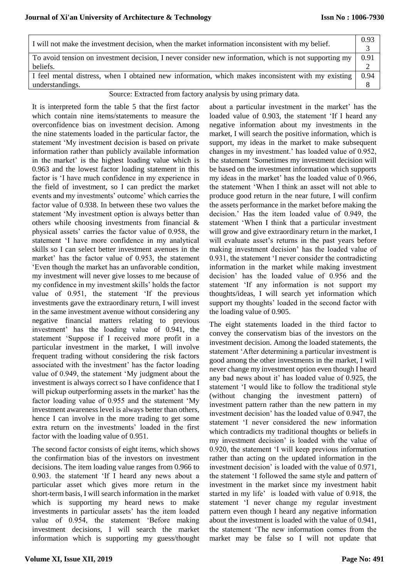| I will not make the investment decision, when the market information inconsistent with my belief.                 | 0.93 |
|-------------------------------------------------------------------------------------------------------------------|------|
| To avoid tension on investment decision, I never consider new information, which is not supporting my<br>beliefs. | 0.91 |
| I feel mental distress, when I obtained new information, which makes inconsistent with my existing                | 0.94 |
| understandings.                                                                                                   |      |

Source: Extracted from factory analysis by using primary data.

It is interpreted form the table 5 that the first factor which contain nine items/statements to measure the overconfidence bias on investment decision. Among the nine statements loaded in the particular factor, the statement 'My investment decision is based on private information rather than publicly available information in the market' is the highest loading value which is 0.963 and the lowest factor loading statement in this factor is 'I have much confidence in my experience in the field of investment, so I can predict the market events and my investments' outcome' which carries the factor value of 0.938. In between these two values the statement 'My investment option is always better than others while choosing investments from financial & physical assets' carries the factor value of 0.958, the statement 'I have more confidence in my analytical skills so I can select better investment avenues in the market' has the factor value of 0.953, the statement 'Even though the market has an unfavorable condition, my investment will never give losses to me because of my confidence in my investment skills' holds the factor value of 0.951, the statement 'If the previous investments gave the extraordinary return, I will invest in the same investment avenue without considering any negative financial matters relating to previous investment' has the loading value of 0.941, the statement 'Suppose if I received more profit in a particular investment in the market, I will involve frequent trading without considering the risk factors associated with the investment' has the factor loading value of 0.949, the statement 'My judgment about the investment is always correct so I have confidence that I will pickup outperforming assets in the market' has the factor loading value of 0.955 and the statement 'My investment awareness level is always better than others, hence I can involve in the more trading to get some extra return on the investments' loaded in the first factor with the loading value of 0.951.

The second factor consists of eight items, which shows the confirmation bias of the investors on investment decisions. The item loading value ranges from 0.966 to 0.903. the statement 'If I heard any news about a particular asset which gives more return in the short-term basis, I will search information in the market which is supporting my heard news to make investments in particular assets' has the item loaded value of 0.954, the statement 'Before making investment decisions, I will search the market information which is supporting my guess/thought

about a particular investment in the market' has the loaded value of 0.903, the statement 'If I heard any negative information about my investments in the market, I will search the positive information, which is support, my ideas in the market to make subsequent changes in my investment.' has loaded value of 0.952, the statement 'Sometimes my investment decision will be based on the investment information which supports my ideas in the market' has the loaded value of 0.966, the statement 'When I think an asset will not able to produce good return in the near future, I will confirm the assets performance in the market before making the decision.' Has the item loaded value of 0.949, the statement 'When I think that a particular investment will grow and give extraordinary return in the market, I will evaluate asset's returns in the past years before making investment decision' has the loaded value of 0.931, the statement 'I never consider the contradicting information in the market while making investment decision' has the loaded value of 0.956 and the statement 'If any information is not support my thoughts/ideas, I will search yet information which support my thoughts' loaded in the second factor with the loading value of 0.905.

The eight statements loaded in the third factor to convey the conservatism bias of the investors on the investment decision. Among the loaded statements, the statement 'After determining a particular investment is good among the other investments in the market, I will never change my investment option even though I heard any bad news about it' has loaded value of 0.925, the statement 'I would like to follow the traditional style (without changing the investment pattern) of investment pattern rather than the new pattern in my investment decision' has the loaded value of 0.947, the statement 'I never considered the new information which contradicts my traditional thoughts or beliefs in my investment decision' is loaded with the value of 0.920, the statement 'I will keep previous information rather than acting on the updated information in the investment decision' is loaded with the value of 0.971, the statement 'I followed the same style and pattern of investment in the market since my investment habit started in my life' is loaded with value of 0.918, the statement 'I never change my regular investment pattern even though I heard any negative information about the investment is loaded with the value of 0.941, the statement 'The new information comes from the market may be false so I will not update that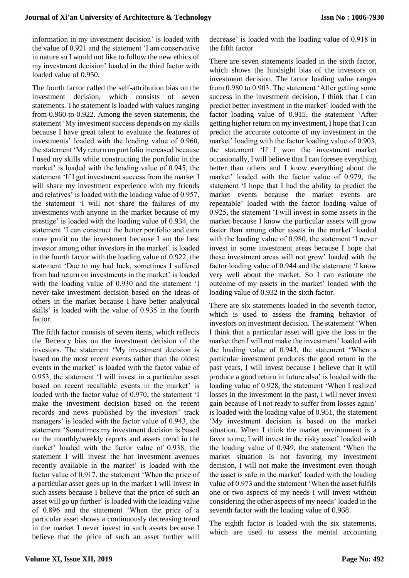information in my investment decision' is loaded with the value of 0.921 and the statement 'I am conservative in nature so I would not like to follow the new ethics of my investment decision' loaded in the third factor with loaded value of 0.950.

The fourth factor called the self-attribution bias on the investment decision, which consists of seven statements. The statement is loaded with values ranging from 0.960 to 0.922. Among the seven statements, the statement 'My investment success depends on my skills because I have great talent to evaluate the features of investments' loaded with the loading value of 0.960, the statement 'My return on portfolio increased because I used my skills while constructing the portfolio in the market' is loaded with the loading value of 0.945, the statement 'If I got investment success from the market I will share my investment experience with my friends and relatives' is loaded with the loading value of 0.957, the statement 'I will not share the failures of my investments with anyone in the market because of my prestige' is loaded with the loading value of 0.934, the statement 'I can construct the better portfolio and earn more profit on the investment because I am the best investor among other investors in the market' is loaded in the fourth factor with the loading value of 0.922, the statement 'Due to my bad luck, sometimes I suffered from bad return on investments in the market' is loaded with the loading value of 0.930 and the statement 'I never take investment decision based on the ideas of others in the market because I have better analytical skills' is loaded with the value of 0.935 in the fourth factor.

The fifth factor consists of seven items, which reflects the Recency bias on the investment decision of the investors. The statement 'My investment decision is based on the most recent events rather than the oldest events in the market' is loaded with the factor value of 0.953, the statement 'I will invest in a particular asset based on recent recallable events in the market' is loaded with the factor value of 0.970, the statement 'I make the investment decision based on the recent records and news published by the investors' track managers' is loaded with the factor value of 0.943, the statement 'Sometimes my investment decision is based on the monthly/weekly reports and assets trend in the market' loaded with the factor value of 0.938, the statement I will invest the hot investment avenues recently available in the market' is loaded with the factor value of 0.917, the statement 'When the price of a particular asset goes up in the market I will invest in such assets because I believe that the price of such an asset will go up further' is loaded with the loading value of 0.896 and the statement 'When the price of a particular asset shows a continuously decreasing trend in the market I never invest in such assets because I believe that the price of such an asset further will decrease' is loaded with the loading value of 0.918 in the fifth factor

There are seven statements loaded in the sixth factor, which shows the hindsight bias of the investors on investment decision. The factor loading value ranges from 0.980 to 0.903. The statement 'After getting some success in the investment decision, I think that I can predict better investment in the market' loaded with the factor loading value of 0.915, the statement 'After getting higher return on my investment, I hope that I can predict the accurate outcome of my investment in the market' loading with the factor loading value of 0.903, the statement 'If I won the investment market occasionally, I will believe that I can foresee everything better than others and I know everything about the market' loaded with the factor value of 0.979, the statement 'I hope that I had the ability to predict the market events because the market events are repeatable' loaded with the factor loading value of 0.925, the statement 'I will invest in some assets in the market because I know the particular assets will grow faster than among other assets in the market' loaded with the loading value of 0.980, the statement 'I never invest in some investment areas because I hope that these investment areas will not grow' loaded with the factor loading value of 0.944 and the statement 'I know very well about the market. So I can estimate the outcome of my assets in the market' loaded with the loading value of 0.932 in the sixth factor.

There are six statements loaded in the seventh factor, which is used to assess the framing behavior of investors on investment decision. The statement 'When I think that a particular asset will give the loss in the market then I will not make the investment' loaded with the loading value of 0.943, the statement 'When a particular investment produces the good return in the past years, I will invest because I believe that it will produce a good return in future also' is loaded with the loading value of 0.928, the statement 'When I realized losses in the investment in the past, I will never invest gain because of I not ready to suffer from losses again' is loaded with the loading value of 0.951, the statement 'My investment decision is based on the market situation. When I think the market environment is a favor to me, I will invest in the risky asset' loaded with the loading value of 0.949, the statement 'When the market situation is not favoring my investment decision, I will not make the investment even though the asset is safe in the market' loaded with the loading value of 0.973 and the statement 'When the asset fulfils one or two aspects of my needs I will invest without considering the other aspects of my needs' loaded in the seventh factor with the loading value of 0.968.

The eighth factor is loaded with the six statements, which are used to assess the mental accounting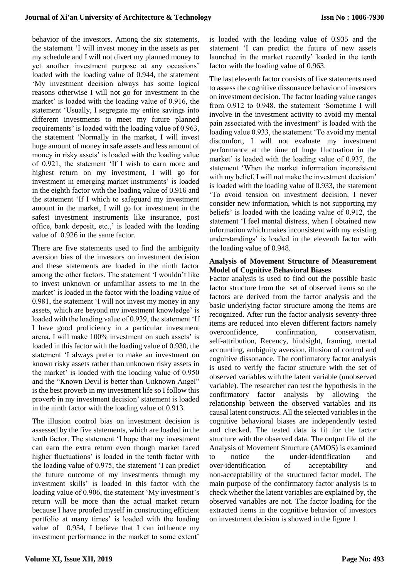behavior of the investors. Among the six statements, the statement 'I will invest money in the assets as per my schedule and I will not divert my planned money to yet another investment purpose at any occasions' loaded with the loading value of 0.944, the statement 'My investment decision always has some logical reasons otherwise I will not go for investment in the market' is loaded with the loading value of 0.916, the statement 'Usually, I segregate my entire savings into different investments to meet my future planned requirements' is loaded with the loading value of 0.963, the statement 'Normally in the market, I will invest huge amount of money in safe assets and less amount of money in risky assets' is loaded with the loading value of 0.921, the statement 'If I wish to earn more and highest return on my investment, I will go for investment in emerging market instruments' is loaded in the eighth factor with the loading value of 0.916 and the statement 'If I which to safeguard my investment amount in the market, I will go for investment in the safest investment instruments like insurance, post office, bank deposit, etc.,' is loaded with the loading value of 0.926 in the same factor.

There are five statements used to find the ambiguity aversion bias of the investors on investment decision and these statements are loaded in the ninth factor among the other factors. The statement 'I wouldn't like to invest unknown or unfamiliar assets to me in the market' is loaded in the factor with the loading value of 0.981, the statement 'I will not invest my money in any assets, which are beyond my investment knowledge' is loaded with the loading value of 0.939, the statement 'If I have good proficiency in a particular investment arena, I will make 100% investment on such assets' is loaded in this factor with the loading value of 0.930, the statement 'I always prefer to make an investment on known risky assets rather than unknown risky assets in the market' is loaded with the loading value of 0.950 and the "Known Devil is better than Unknown Angel" is the best proverb in my investment life so I follow this proverb in my investment decision' statement is loaded in the ninth factor with the loading value of 0.913.

The illusion control bias on investment decision is assessed by the five statements, which are loaded in the tenth factor. The statement 'I hope that my investment can earn the extra return even though market faced higher fluctuations' is loaded in the tenth factor with the loading value of 0.975, the statement 'I can predict the future outcome of my investments through my investment skills' is loaded in this factor with the loading value of 0.906, the statement 'My investment's return will be more than the actual market return because I have proofed myself in constructing efficient portfolio at many times' is loaded with the loading value of 0.954, I believe that I can influence my investment performance in the market to some extent'

is loaded with the loading value of 0.935 and the statement 'I can predict the future of new assets launched in the market recently' loaded in the tenth factor with the loading value of 0.963.

The last eleventh factor consists of five statements used to assess the cognitive dissonance behavior of investors on investment decision. The factor loading value ranges from 0.912 to 0.948. the statement 'Sometime I will involve in the investment activity to avoid my mental pain associated with the investment' is loaded with the loading value 0.933, the statement 'To avoid my mental discomfort, I will not evaluate my investment performance at the time of huge fluctuation in the market' is loaded with the loading value of 0.937, the statement 'When the market information inconsistent with my belief, I will not make the investment decision' is loaded with the loading value of 0.933, the statement 'To avoid tension on investment decision, I never consider new information, which is not supporting my beliefs' is loaded with the loading value of 0.912, the statement 'I feel mental distress, when I obtained new information which makes inconsistent with my existing understandings' is loaded in the eleventh factor with the loading value of 0.948.

### **Analysis of Movement Structure of Measurement Model of Cognitive Behavioral Biases**

Factor analysis is used to find out the possible basic factor structure from the set of observed items so the factors are derived from the factor analysis and the basic underlying factor structure among the items are recognized. After run the factor analysis seventy-three items are reduced into eleven different factors namely overconfidence, confirmation, conservatism, self-attribution, Recency, hindsight, framing, mental accounting, ambiguity aversion, illusion of control and cognitive dissonance. The confirmatory factor analysis is used to verify the factor structure with the set of observed variables with the latent variable (unobserved variable). The researcher can test the hypothesis in the confirmatory factor analysis by allowing the relationship between the observed variables and its causal latent constructs. All the selected variables in the cognitive behavioral biases are independently tested and checked. The tested data is fit for the factor structure with the observed data. The output file of the Analysis of Movement Structure (AMOS) is examined to notice the under-identification and over-identification of acceptability and non-acceptability of the structured factor model. The main purpose of the confirmatory factor analysis is to check whether the latent variables are explained by, the observed variables are not. The factor loading for the extracted items in the cognitive behavior of investors on investment decision is showed in the figure 1.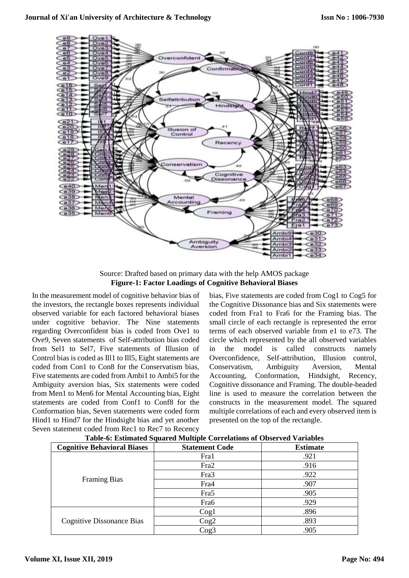

Source: Drafted based on primary data with the help AMOS package **Figure-1: Factor Loadings of Cognitive Behavioral Biases**

In the measurement model of cognitive behavior bias of the investors, the rectangle boxes represents individual observed variable for each factored behavioral biases under cognitive behavior. The Nine statements regarding Overconfident bias is coded from Ove1 to Ove9, Seven statements of Self-attribution bias coded from Sel1 to Sel7, Five statements of Illusion of Control bias is coded as Ill1 to Ill5, Eight statements are coded from Con1 to Con8 for the Conservatism bias, Five statements are coded from Ambi1 to Ambi5 for the Ambiguity aversion bias, Six statements were coded from Men1 to Men6 for Mental Accounting bias, Eight statements are coded from Conf1 to Conf8 for the Conformation bias, Seven statements were coded form Hind1 to Hind7 for the Hindsight bias and yet another Seven statement coded from Rec1 to Rec7 to Recency

bias, Five statements are coded from Cog1 to Cog5 for the Cognitive Dissonance bias and Six statements were coded from Fra1 to Fra6 for the Framing bias. The small circle of each rectangle is represented the error terms of each observed variable from e1 to e73. The circle which represented by the all observed variables in the model is called constructs namely Overconfidence, Self-attribution, Illusion control, Conservatism, Ambiguity Aversion, Mental Accounting, Conformation, Hindsight, Recency, Cognitive dissonance and Framing. The double-headed line is used to measure the correlation between the constructs in the measurement model. The squared multiple correlations of each and every observed item is presented on the top of the rectangle.

| Table of Estimated bytancy multiple Correlations of Observed Variables |                       |                 |  |  |
|------------------------------------------------------------------------|-----------------------|-----------------|--|--|
| <b>Cognitive Behavioral Biases</b>                                     | <b>Statement Code</b> | <b>Estimate</b> |  |  |
| <b>Framing Bias</b>                                                    | Fra1                  | .921            |  |  |
|                                                                        | Fra <sub>2</sub>      | .916            |  |  |
|                                                                        | Fra <sub>3</sub>      | .922            |  |  |
|                                                                        | Fra4                  | .907            |  |  |
|                                                                        | Fra <sub>5</sub>      | .905            |  |  |
|                                                                        | Fra <sub>6</sub>      | .929            |  |  |
| <b>Cognitive Dissonance Bias</b>                                       | $\log_1$              | .896            |  |  |
|                                                                        | Cog2                  | .893            |  |  |
|                                                                        | $\text{Cog}3$         | .905            |  |  |

**Table-6: Estimated Squared Multiple Correlations of Observed Variables**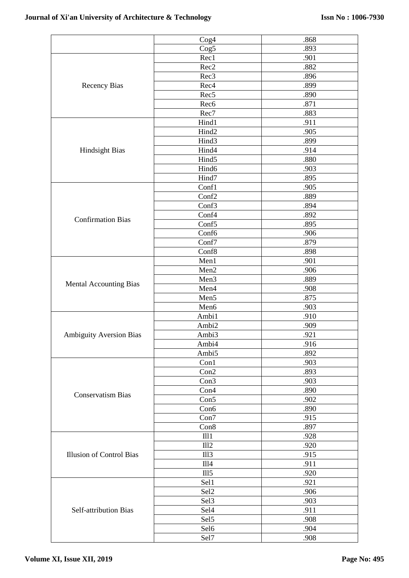|                                 | Cog <sub>4</sub>  | .868 |
|---------------------------------|-------------------|------|
|                                 | Cog5              | .893 |
|                                 | Rec1              | .901 |
|                                 | Rec2              | .882 |
|                                 | Rec <sub>3</sub>  | .896 |
| <b>Recency Bias</b>             | Rec4              | .899 |
|                                 | Rec <sub>5</sub>  | .890 |
|                                 | Rec <sub>6</sub>  | .871 |
|                                 | Rec7              | .883 |
|                                 | Hind1             | .911 |
|                                 | Hind2             | .905 |
|                                 | Hind3             | .899 |
| <b>Hindsight Bias</b>           | Hind4             | .914 |
|                                 | Hind <sub>5</sub> | .880 |
|                                 | Hind <sub>6</sub> | .903 |
|                                 | Hind7             | .895 |
|                                 | Conf1             | .905 |
|                                 | Conf2             | .889 |
|                                 | Conf3             | .894 |
|                                 | Conf4             | .892 |
| <b>Confirmation Bias</b>        | Conf <sub>5</sub> | .895 |
|                                 | Conf6             | .906 |
|                                 | Conf7             | .879 |
|                                 | Conf8             | .898 |
|                                 | Men1              | .901 |
|                                 | Men2              | .906 |
|                                 | Men <sub>3</sub>  | .889 |
| <b>Mental Accounting Bias</b>   | Men4              | .908 |
|                                 | Men5              | .875 |
|                                 | Men6              | .903 |
|                                 | Ambi1             | .910 |
|                                 | Ambi2             | .909 |
| <b>Ambiguity Aversion Bias</b>  | Ambi3             | .921 |
|                                 | Ambi4             | .916 |
|                                 | Ambi5             | .892 |
|                                 |                   |      |
|                                 | Con1              | .903 |
|                                 | Con2              | .893 |
|                                 | Con3              | .903 |
| <b>Conservatism Bias</b>        | Con4              | .890 |
|                                 | Con5              | .902 |
|                                 | Con6              | .890 |
|                                 | Con7              | .915 |
|                                 | Con8              | .897 |
|                                 | III1              | .928 |
|                                 | III2              | .920 |
| <b>Illusion of Control Bias</b> | III3              | .915 |
|                                 | III4              | .911 |
|                                 | III <sub>5</sub>  | .920 |
|                                 | Sel1              | .921 |
|                                 | Sel2              | .906 |
|                                 | Sel <sub>3</sub>  | .903 |
| <b>Self-attribution Bias</b>    | Sel <sub>4</sub>  | .911 |
|                                 | Sel5              | .908 |
|                                 | Sel <sub>6</sub>  | .904 |
|                                 | Sel7              | .908 |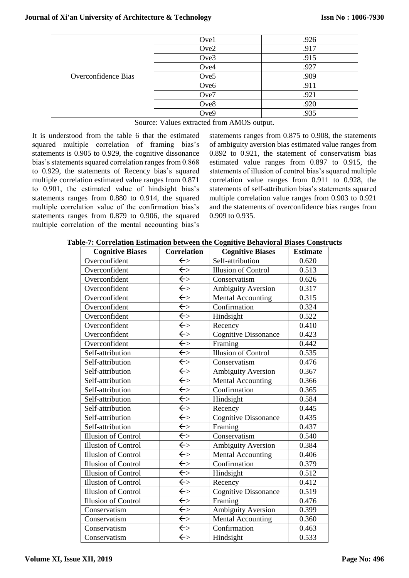|                     | Ove1             | .926 |
|---------------------|------------------|------|
| Overconfidence Bias | Ove2             | .917 |
|                     | Ove3             | .915 |
|                     | Ove4             | .927 |
|                     | Ove <sub>5</sub> | .909 |
|                     | Ove <sub>6</sub> | .911 |
|                     | Ove7             | .921 |
|                     | Ove8             | .920 |
|                     | Ove9             | .935 |
|                     |                  |      |

Source: Values extracted from AMOS output.

It is understood from the table 6 that the estimated squared multiple correlation of framing bias's statements is 0.905 to 0.929, the cognitive dissonance bias's statements squared correlation ranges from 0.868 to 0.929, the statements of Recency bias's squared multiple correlation estimated value ranges from 0.871 to 0.901, the estimated value of hindsight bias's statements ranges from 0.880 to 0.914, the squared multiple correlation value of the confirmation bias's statements ranges from 0.879 to 0.906, the squared multiple correlation of the mental accounting bias's statements ranges from 0.875 to 0.908, the statements of ambiguity aversion bias estimated value ranges from 0.892 to 0.921, the statement of conservatism bias estimated value ranges from 0.897 to 0.915, the statements of illusion of control bias's squared multiple correlation value ranges from 0.911 to 0.928, the statements of self-attribution bias's statements squared multiple correlation value ranges from 0.903 to 0.921 and the statements of overconfidence bias ranges from 0.909 to 0.935.

| Table-7: Correlation Estimation between the Cognitive Behavioral Biases Constructs |  |
|------------------------------------------------------------------------------------|--|
|------------------------------------------------------------------------------------|--|

| <b>Cognitive Biases</b>    | <b>Correlation</b>      | <b>Cognitive Biases</b>     | <b>Estimate</b> |
|----------------------------|-------------------------|-----------------------------|-----------------|
| Overconfident              | $\overline{\leftarrow}$ | Self-attribution            | 0.620           |
| Overconfident              | $\leftarrow$            | <b>Illusion of Control</b>  | 0.513           |
| Overconfident              | $\leftarrow$            | Conservatism                | 0.626           |
| Overconfident              | $\overline{\leftarrow}$ | Ambiguity Aversion          | 0.317           |
| Overconfident              | $\overline{\leftarrow}$ | <b>Mental Accounting</b>    | 0.315           |
| Overconfident              | $\leftarrow$            | Confirmation                | 0.324           |
| Overconfident              | $\Leftarrow$            | Hindsight                   | 0.522           |
| Overconfident              | $\leftarrow$            | Recency                     | 0.410           |
| Overconfident              | $\leftarrow$            | <b>Cognitive Dissonance</b> | 0.423           |
| Overconfident              | $\overline{\leftarrow}$ | Framing                     | 0.442           |
| Self-attribution           | $\leftarrow$            | <b>Illusion of Control</b>  | 0.535           |
| Self-attribution           | $\leftarrow$            | Conservatism                | 0.476           |
| Self-attribution           | $\leftarrow$            | <b>Ambiguity Aversion</b>   | 0.367           |
| Self-attribution           | $\leftarrow$            | <b>Mental Accounting</b>    | 0.366           |
| Self-attribution           | $\leftarrow$            | Confirmation                | 0.365           |
| Self-attribution           | $\overline{\leftarrow}$ | Hindsight                   | 0.584           |
| Self-attribution           | $\leftarrow$            | Recency                     | 0.445           |
| Self-attribution           | $\leftarrow$            | <b>Cognitive Dissonance</b> | 0.435           |
| Self-attribution           | $\overline{\leftarrow}$ | Framing                     | 0.437           |
| <b>Illusion of Control</b> | $\leftarrow$            | Conservatism                | 0.540           |
| <b>Illusion of Control</b> | $\overline{\leftarrow}$ | <b>Ambiguity Aversion</b>   | 0.384           |
| <b>Illusion of Control</b> | $\leftarrow$            | <b>Mental Accounting</b>    | 0.406           |
| <b>Illusion of Control</b> | $\overline{\leftarrow}$ | Confirmation                | 0.379           |
| Illusion of Control        | $\overline{\leftarrow}$ | Hindsight                   | 0.512           |
| <b>Illusion of Control</b> | $\leftarrow$            | Recency                     | 0.412           |
| Illusion of Control        | $\leftarrow$            | <b>Cognitive Dissonance</b> | 0.519           |
| <b>Illusion of Control</b> | $\leftarrow$            | Framing                     | 0.476           |
| Conservatism               | $\leftarrow$            | Ambiguity Aversion          | 0.399           |
| Conservatism               | $\leftarrow$            | <b>Mental Accounting</b>    | 0.360           |
| Conservatism               | $\bar{\leftarrow}$      | Confirmation                | 0.463           |
| Conservatism               | $\leftarrow$            | Hindsight                   | 0.533           |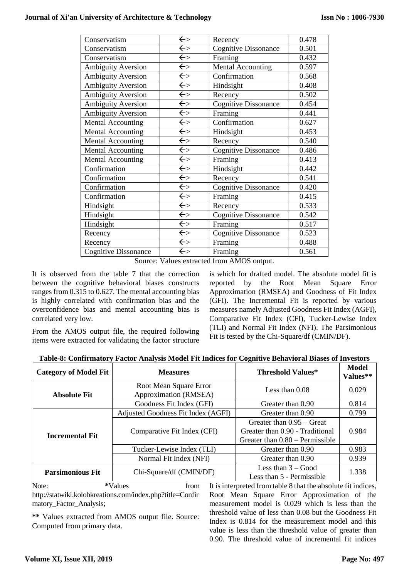| Conservatism                | $\Leftarrow$ | Recency                     | 0.478 |
|-----------------------------|--------------|-----------------------------|-------|
| Conservatism                | $\Leftarrow$ | <b>Cognitive Dissonance</b> | 0.501 |
| Conservatism                | $\Leftarrow$ | Framing                     | 0.432 |
| <b>Ambiguity Aversion</b>   | $\Leftarrow$ | Mental Accounting           | 0.597 |
| <b>Ambiguity Aversion</b>   | $\Leftarrow$ | Confirmation                | 0.568 |
| <b>Ambiguity Aversion</b>   | $\Leftarrow$ | Hindsight                   | 0.408 |
| <b>Ambiguity Aversion</b>   | $\Leftarrow$ | Recency                     | 0.502 |
| <b>Ambiguity Aversion</b>   | $\Leftarrow$ | Cognitive Dissonance        | 0.454 |
| <b>Ambiguity Aversion</b>   | $\Leftarrow$ | Framing                     | 0.441 |
| <b>Mental Accounting</b>    | $\leftarrow$ | Confirmation                | 0.627 |
| <b>Mental Accounting</b>    | $\Leftarrow$ | Hindsight                   | 0.453 |
| <b>Mental Accounting</b>    | $\Leftarrow$ | Recency                     | 0.540 |
| <b>Mental Accounting</b>    | $\Leftarrow$ | <b>Cognitive Dissonance</b> | 0.486 |
| <b>Mental Accounting</b>    | $\Leftarrow$ | Framing                     | 0.413 |
| Confirmation                | $\Leftarrow$ | Hindsight                   | 0.442 |
| Confirmation                | $\Leftarrow$ | Recency                     | 0.541 |
| Confirmation                | $\leftarrow$ | <b>Cognitive Dissonance</b> | 0.420 |
| Confirmation                | $\leftarrow$ | Framing                     | 0.415 |
| Hindsight                   | $\leftarrow$ | Recency                     | 0.533 |
| Hindsight                   | $\Leftarrow$ | <b>Cognitive Dissonance</b> | 0.542 |
| Hindsight                   | $\Leftarrow$ | Framing                     | 0.517 |
| Recency                     | $\Leftarrow$ | <b>Cognitive Dissonance</b> | 0.523 |
| Recency                     | $\Leftarrow$ | Framing                     | 0.488 |
| <b>Cognitive Dissonance</b> | $\Leftarrow$ | Framing                     | 0.561 |

Source: Values extracted from AMOS output.

It is observed from the table 7 that the correction between the cognitive behavioral biases constructs ranges from 0.315 to 0.627. The mental accounting bias is highly correlated with confirmation bias and the overconfidence bias and mental accounting bias is correlated very low.

From the AMOS output file, the required following items were extracted for validating the factor structure is which for drafted model. The absolute model fit is reported by the Root Mean Square Error Approximation (RMSEA) and Goodness of Fit Index (GFI). The Incremental Fit is reported by various measures namely Adjusted Goodness Fit Index (AGFI), Comparative Fit Index (CFI), Tucker-Lewise Index (TLI) and Normal Fit Index (NFI). The Parsimonious Fit is tested by the Chi-Square/df (CMIN/DF).

| <b>Category of Model Fit</b> | <b>Measures</b>                                 | Threshold Values*                 | <b>Model</b><br>Values** |  |
|------------------------------|-------------------------------------------------|-----------------------------------|--------------------------|--|
| <b>Absolute Fit</b>          | Root Mean Square Error<br>Approximation (RMSEA) | Less than $0.08$                  | 0.029                    |  |
|                              | Goodness Fit Index (GFI)                        | Greater than 0.90                 | 0.814                    |  |
|                              | Adjusted Goodness Fit Index (AGFI)              | Greater than 0.90                 | 0.799                    |  |
|                              | Greater than $0.95 -$ Great                     |                                   |                          |  |
| <b>Incremental Fit</b>       | Comparative Fit Index (CFI)                     | Greater than 0.90 - Traditional   | 0.984                    |  |
|                              |                                                 | Greater than $0.80$ – Permissible |                          |  |
|                              | Tucker-Lewise Index (TLI)                       | Greater than 0.90                 | 0.983                    |  |
|                              | Normal Fit Index (NFI)                          | Greater than 0.90                 | 0.939                    |  |
| <b>Parsimonious Fit</b>      | Chi-Square/df (CMIN/DF)                         | Less than $3 - Good$              | 1.338                    |  |
|                              |                                                 | Less than 5 - Permissible         |                          |  |

**Table-8: Confirmatory Factor Analysis Model Fit Indices for Cognitive Behavioral Biases of Investors**

Note: \*Values from http://statwiki.kolobkreations.com/index.php?title=Confir matory\_Factor\_Analysis;

**\*\*** Values extracted from AMOS output file. Source: Computed from primary data.

It is interpreted from table 8 that the absolute fit indices, Root Mean Square Error Approximation of the measurement model is 0.029 which is less than the threshold value of less than 0.08 but the Goodness Fit Index is 0.814 for the measurement model and this value is less than the threshold value of greater than 0.90. The threshold value of incremental fit indices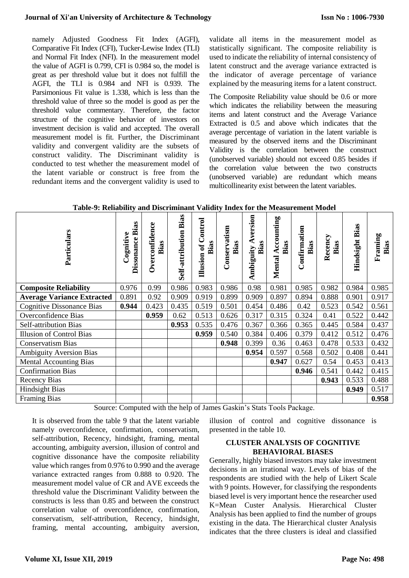namely Adjusted Goodness Fit Index (AGFI), Comparative Fit Index (CFI), Tucker-Lewise Index (TLI) and Normal Fit Index (NFI). In the measurement model the value of AGFI is 0.799, CFI is 0.984 so, the model is great as per threshold value but it does not fulfill the AGFI, the TLI is 0.984 and NFI is 0.939. The Parsimonious Fit value is 1.338, which is less than the threshold value of three so the model is good as per the threshold value commentary. Therefore, the factor structure of the cognitive behavior of investors on investment decision is valid and accepted. The overall measurement model is fit. Further, the Discriminant validity and convergent validity are the subsets of construct validity. The Discriminant validity is conducted to test whether the measurement model of the latent variable or construct is free from the redundant items and the convergent validity is used to

validate all items in the measurement model as statistically significant. The composite reliability is used to indicate the reliability of internal consistency of latent construct and the average variance extracted is the indicator of average percentage of variance explained by the measuring items for a latent construct.

The Composite Reliability value should be 0.6 or more which indicates the reliability between the measuring items and latent construct and the Average Variance Extracted is 0.5 and above which indicates that the average percentage of variation in the latent variable is measured by the observed items and the Discriminant Validity is the correlation between the construct (unobserved variable) should not exceed 0.85 besides if the correlation value between the two constructs (unobserved variable) are redundant which means multicollinearity exist between the latent variables.

| Particulars                       | Bias<br>Cognitive<br>Dissonance | Overconfidence<br>Bias | Bias<br>Self-attribution | ontrol<br>Bias<br>Illusion of | Conservatism<br>Bias | version<br>Bias<br>Ambiguity | ccounting<br>Bias<br>⋖<br>Mental | Confirmation<br>Bias | Recency<br>Bias | Hindsight Bias | Framing<br>Bias |
|-----------------------------------|---------------------------------|------------------------|--------------------------|-------------------------------|----------------------|------------------------------|----------------------------------|----------------------|-----------------|----------------|-----------------|
| <b>Composite Reliability</b>      | 0.976                           | 0.99                   | 0.986                    | 0.983                         | 0.986                | 0.98                         | 0.981                            | 0.985                | 0.982           | 0.984          | 0.985           |
| <b>Average Variance Extracted</b> | 0.891                           | 0.92                   | 0.909                    | 0.919                         | 0.899                | 0.909                        | 0.897                            | 0.894                | 0.888           | 0.901          | 0.917           |
| <b>Cognitive Dissonance Bias</b>  | 0.944                           | 0.423                  | 0.435                    | 0.519                         | 0.501                | 0.454                        | 0.486                            | 0.42                 | 0.523           | 0.542          | 0.561           |
| Overconfidence Bias               |                                 | 0.959                  | 0.62                     | 0.513                         | 0.626                | 0.317                        | 0.315                            | 0.324                | 0.41            | 0.522          | 0.442           |
| <b>Self-attribution Bias</b>      |                                 |                        | 0.953                    | 0.535                         | 0.476                | 0.367                        | 0.366                            | 0.365                | 0.445           | 0.584          | 0.437           |
| <b>Illusion of Control Bias</b>   |                                 |                        |                          | 0.959                         | 0.540                | 0.384                        | 0.406                            | 0.379                | 0.412           | 0.512          | 0.476           |
| <b>Conservatism Bias</b>          |                                 |                        |                          |                               | 0.948                | 0.399                        | 0.36                             | 0.463                | 0.478           | 0.533          | 0.432           |
| <b>Ambiguity Aversion Bias</b>    |                                 |                        |                          |                               |                      | 0.954                        | 0.597                            | 0.568                | 0.502           | 0.408          | 0.441           |
| <b>Mental Accounting Bias</b>     |                                 |                        |                          |                               |                      |                              | 0.947                            | 0.627                | 0.54            | 0.453          | 0.413           |
| <b>Confirmation Bias</b>          |                                 |                        |                          |                               |                      |                              |                                  | 0.946                | 0.541           | 0.442          | 0.415           |
| <b>Recency Bias</b>               |                                 |                        |                          |                               |                      |                              |                                  |                      | 0.943           | 0.533          | 0.488           |
| <b>Hindsight Bias</b>             |                                 |                        |                          |                               |                      |                              |                                  |                      |                 | 0.949          | 0.517           |
| <b>Framing Bias</b>               |                                 |                        |                          |                               |                      |                              |                                  |                      |                 |                | 0.958           |

**Table-9: Reliability and Discriminant Validity Index for the Measurement Model**

Source: Computed with the help of James Gaskin's Stats Tools Package.

It is observed from the table 9 that the latent variable namely overconfidence, confirmation, conservatism, self-attribution, Recency, hindsight, framing, mental accounting, ambiguity aversion, illusion of control and cognitive dissonance have the composite reliability value which ranges from 0.976 to 0.990 and the average variance extracted ranges from 0.888 to 0.920. The measurement model value of CR and AVE exceeds the threshold value the Discriminant Validity between the constructs is less than 0.85 and between the construct correlation value of overconfidence, confirmation, conservatism, self-attribution, Recency, hindsight, framing, mental accounting, ambiguity aversion,

illusion of control and cognitive dissonance is presented in the table 10.

## **CLUSTER ANALYSIS OF COGNITIVE BEHAVIORAL BIASES**

Generally, highly biased investors may take investment decisions in an irrational way. Levels of bias of the respondents are studied with the help of Likert Scale with 9 points. However, for classifying the respondents biased level is very important hence the researcher used K=Mean Custer Analysis. Hierarchical Cluster Analysis has been applied to find the number of groups existing in the data. The Hierarchical cluster Analysis indicates that the three clusters is ideal and classified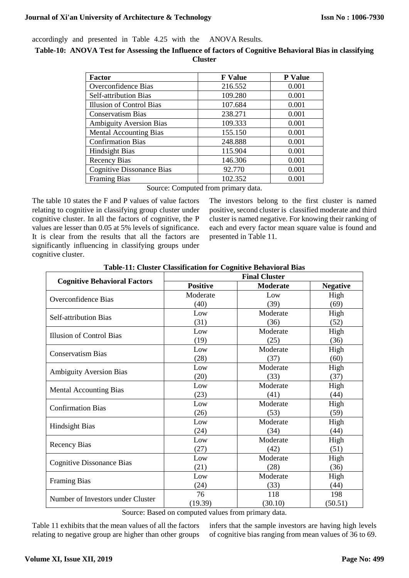accordingly and presented in Table 4.25 with the ANOVA Results.

**Table-10: ANOVA Test for Assessing the Influence of factors of Cognitive Behavioral Bias in classifying Cluster**

| <b>Factor</b>                    | <b>F</b> Value | P Value |
|----------------------------------|----------------|---------|
| Overconfidence Bias              | 216.552        | 0.001   |
| Self-attribution Bias            | 109.280        | 0.001   |
| Illusion of Control Bias         | 107.684        | 0.001   |
| <b>Conservatism Bias</b>         | 238.271        | 0.001   |
| <b>Ambiguity Aversion Bias</b>   | 109.333        | 0.001   |
| <b>Mental Accounting Bias</b>    | 155.150        | 0.001   |
| <b>Confirmation Bias</b>         | 248.888        | 0.001   |
| <b>Hindsight Bias</b>            | 115.904        | 0.001   |
| <b>Recency Bias</b>              | 146.306        | 0.001   |
| <b>Cognitive Dissonance Bias</b> | 92.770         | 0.001   |
| <b>Framing Bias</b>              | 102.352        | 0.001   |

Source: Computed from primary data.

The table 10 states the F and P values of value factors relating to cognitive in classifying group cluster under cognitive cluster. In all the factors of cognitive, the P values are lesser than 0.05 at 5% levels of significance. It is clear from the results that all the factors are significantly influencing in classifying groups under cognitive cluster.

The investors belong to the first cluster is named positive, second cluster is classified moderate and third cluster is named negative. For knowing their ranking of each and every factor mean square value is found and presented in Table 11.

| <b>Final Cluster</b> |                 |                 |  |  |
|----------------------|-----------------|-----------------|--|--|
| <b>Positive</b>      | <b>Moderate</b> | <b>Negative</b> |  |  |
| Moderate             | Low             | High            |  |  |
| (40)                 | (39)            | (69)            |  |  |
| Low                  | Moderate        | High            |  |  |
| (31)                 | (36)            | (52)            |  |  |
| Low                  | Moderate        | High            |  |  |
| (19)                 | (25)            | (36)            |  |  |
| Low                  | Moderate        | High            |  |  |
| (28)                 | (37)            | (60)            |  |  |
| Low                  | Moderate        | High            |  |  |
| (20)                 | (33)            | (37)            |  |  |
| Low                  | Moderate        | High            |  |  |
| (23)                 | (41)            | (44)            |  |  |
| Low                  | Moderate        | High            |  |  |
| (26)                 | (53)            | (59)            |  |  |
| Low                  | Moderate        | High            |  |  |
| (24)                 | (34)            | (44)            |  |  |
| Low                  | Moderate        | High            |  |  |
| (27)                 | (42)            | (51)            |  |  |
| Low                  | Moderate        | High            |  |  |
| (21)                 | (28)            | (36)            |  |  |
| Low                  | Moderate        | High            |  |  |
| (24)                 | (33)            | (44)            |  |  |
| 76                   | 118             | 198             |  |  |
| (19.39)              | (30.10)         | (50.51)         |  |  |
|                      |                 |                 |  |  |

**Table-11: Cluster Classification for Cognitive Behavioral Bias**

Source: Based on computed values from primary data.

Table 11 exhibits that the mean values of all the factors relating to negative group are higher than other groups infers that the sample investors are having high levels of cognitive bias ranging from mean values of 36 to 69.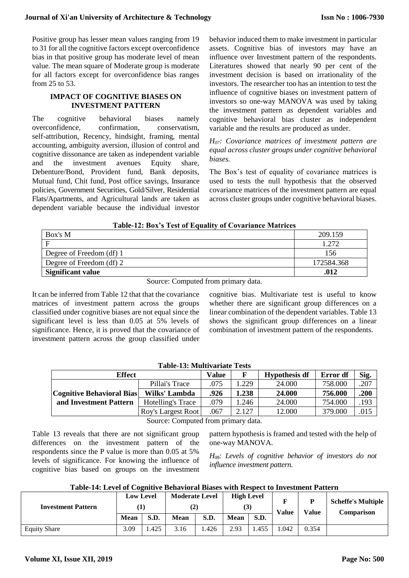Positive group has lesser mean values ranging from 19 to 31 for all the cognitive factors except overconfidence bias in that positive group has moderate level of mean value. The mean square of Moderate group is moderate for all factors except for overconfidence bias ranges from 25 to 53.

#### **IMPACT OF COGNITIVE BIASES ON INVESTMENT PATTERN**

The cognitive behavioral biases namely overconfidence, confirmation, conservatism, self-attribution, Recency, hindsight, framing, mental accounting, ambiguity aversion, illusion of control and cognitive dissonance are taken as independent variable and the investment avenues Equity share, Debenture/Bond, Provident fund, Bank deposits, Mutual fund, Chit fund, Post office savings, Insurance policies, Government Securities, Gold/Silver, Residential Flats/Apartments, and Agricultural lands are taken as dependent variable because the individual investor

behavior induced them to make investment in particular assets. Cognitive bias of investors may have an influence over Investment pattern of the respondents. Literatures showed that nearly 90 per cent of the investment decision is based on irrationality of the investors. The researcher too has an intention to test the influence of cognitive biases on investment pattern of investors so one-way MANOVA was used by taking the investment pattern as dependent variables and cognitive behavioral bias cluster as independent variable and the results are produced as under.

*H07: Covariance matrices of investment pattern are equal across cluster groups under cognitive behavioral biases.*

The Box's test of equality of covariance matrices is used to tests the null hypothesis that the observed covariance matrices of the investment pattern are equal across cluster groups under cognitive behavioral biases.

## **Table-12: Box's Test of Equality of Covariance Matrices**

| Box's M                  | 209.159    |
|--------------------------|------------|
| Е                        | l 772      |
| Degree of Freedom (df) 1 | 156        |
| Degree of Freedom (df) 2 | 172584.368 |
| <b>Significant value</b> | .012       |

Source: Computed from primary data.

It can be inferred from Table 12 that that the covariance matrices of investment pattern across the groups classified under cognitive biases are not equal since the significant level is less than 0.05 at 5% levels of significance. Hence, it is proved that the covariance of investment pattern across the group classified under cognitive bias. Multivariate test is useful to know whether there are significant group differences on a linear combination of the dependent variables. Table 13 shows the significant group differences on a linear combination of investment pattern of the respondents.

| Table-13: Multivariate Tests |                    |       |       |                      |          |      |  |
|------------------------------|--------------------|-------|-------|----------------------|----------|------|--|
| <b>Effect</b>                |                    | Value | F     | <b>Hypothesis df</b> | Error df | Sig. |  |
|                              | Pillai's Trace     | .075  | 1.229 | 24.000               | 758.000  | .207 |  |
| Cognitive Behavioral Bias    | Wilks' Lambda      | .926  | 1.238 | 24.000               | 756.000  | .200 |  |
| and Investment Pattern       | Hotelling's Trace  | .079  | 1.246 | 24.000               | 754.000  | .193 |  |
|                              | Roy's Largest Root | .067  | 2.127 | 12.000               | 379.000  | .015 |  |
|                              | $\sim$             |       |       |                      |          |      |  |

# **Table-13: Multivariate Tests**

Source: Computed from primary data.

Table 13 reveals that there are not significant group differences on the investment pattern of the respondents since the P value is more than 0.05 at 5% levels of significance. For knowing the influence of cognitive bias based on groups on the investment

pattern hypothesis is framed and tested with the help of one-way MANOVA.

*H08: Levels of cognitive behavior of investors do not influence investment pattern.*

|  |  | Table-14: Level of Cognitive Behavioral Biases with Respect to Investment Pattern |  |  |
|--|--|-----------------------------------------------------------------------------------|--|--|
|  |  |                                                                                   |  |  |

| <b>Investment Pattern</b> | <b>Low Level</b><br>(1) |      | <b>Moderate Level</b><br>(2) |      | <b>High Level</b><br>(3) |      | F<br><b>Value</b> | D<br><b>Value</b> | <b>Scheffe's Multiple</b><br><b>Comparison</b> |
|---------------------------|-------------------------|------|------------------------------|------|--------------------------|------|-------------------|-------------------|------------------------------------------------|
|                           | Mean                    | S.D. | <b>Mean</b>                  | S.D. | <b>Mean</b>              | S.D. |                   |                   |                                                |
| <b>Equity Share</b>       | 3.09                    | .425 | 3.16                         | .426 | 2.93                     | .455 | .042              | 0.354             |                                                |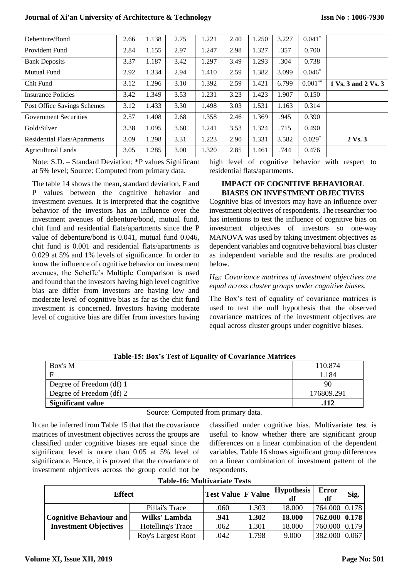| Debenture/Bond               | 2.66 | 1.138 | 2.75 | 1.221 | 2.40 | 1.250 | 3.227 | $0.041*$   |                     |
|------------------------------|------|-------|------|-------|------|-------|-------|------------|---------------------|
| Provident Fund               | 2.84 | 1.155 | 2.97 | 1.247 | 2.98 | 1.327 | .357  | 0.700      |                     |
| <b>Bank Deposits</b>         | 3.37 | 1.187 | 3.42 | 1.297 | 3.49 | 1.293 | .304  | 0.738      |                     |
| <b>Mutual Fund</b>           | 2.92 | 1.334 | 2.94 | 1.410 | 2.59 | 1.382 | 3.099 | $0.046*$   |                     |
| Chit Fund                    | 3.12 | 1.296 | 3.10 | 1.392 | 2.59 | 1.421 | 6.799 | $0.001***$ | 1 Vs. 3 and 2 Vs. 3 |
| Insurance Policies           | 3.42 | 1.349 | 3.53 | 1.231 | 3.23 | 1.423 | 1.907 | 0.150      |                     |
| Post Office Savings Schemes  | 3.12 | 1.433 | 3.30 | 1.498 | 3.03 | 1.531 | 1.163 | 0.314      |                     |
| <b>Government Securities</b> | 2.57 | 1.408 | 2.68 | 1.358 | 2.46 | 1.369 | .945  | 0.390      |                     |
| Gold/Silver                  | 3.38 | 1.095 | 3.60 | 1.241 | 3.53 | 1.324 | .715  | 0.490      |                     |
| Residential Flats/Apartments | 3.09 | 1.298 | 3.31 | 1.223 | 2.90 | 1.331 | 3.582 | $0.029*$   | $2 \text{Vs.} 3$    |
| <b>Agricultural Lands</b>    | 3.05 | 1.285 | 3.00 | 1.320 | 2.85 | 1.461 | .744  | 0.476      |                     |

Note: S.D. – Standard Deviation; \*P values Significant at 5% level; Source: Computed from primary data.

The table 14 shows the mean, standard deviation, F and P values between the cognitive behavior and investment avenues. It is interpreted that the cognitive behavior of the investors has an influence over the investment avenues of debenture/bond, mutual fund, chit fund and residential flats/apartments since the P value of debenture/bond is 0.041, mutual fund 0.046, chit fund is 0.001 and residential flats/apartments is 0.029 at 5% and 1% levels of significance. In order to know the influence of cognitive behavior on investment avenues, the Scheffe's Multiple Comparison is used and found that the investors having high level cognitive bias are differ from investors are having low and moderate level of cognitive bias as far as the chit fund investment is concerned. Investors having moderate level of cognitive bias are differ from investors having high level of cognitive behavior with respect to residential flats/apartments.

## **IMPACT OF COGNITIVE BEHAVIORAL BIASES ON INVESTMENT OBJECTIVES**

Cognitive bias of investors may have an influence over investment objectives of respondents. The researcher too has intentions to test the influence of cognitive bias on investment objectives of investors so one-way MANOVA was used by taking investment objectives as dependent variables and cognitive behavioral bias cluster as independent variable and the results are produced below.

## *H09: Covariance matrices of investment objectives are equal across cluster groups under cognitive biases.*

The Box's test of equality of covariance matrices is used to test the null hypothesis that the observed covariance matrices of the investment objectives are equal across cluster groups under cognitive biases.

| Table-15: Box's Test of Equality of Covariance Matrices |            |  |  |  |  |  |
|---------------------------------------------------------|------------|--|--|--|--|--|
| Box's M                                                 | 110.874    |  |  |  |  |  |
| E                                                       | .184       |  |  |  |  |  |
| Degree of Freedom (df) 1                                | 90         |  |  |  |  |  |
| Degree of Freedom (df) 2                                | 176809.291 |  |  |  |  |  |
| <b>Significant value</b>                                | .112       |  |  |  |  |  |

# **Table-15: Box's Test of Equality of Covariance Matrices**

Source: Computed from primary data.

It can be inferred from Table 15 that that the covariance matrices of investment objectives across the groups are classified under cognitive biases are equal since the significant level is more than 0.05 at 5% level of significance. Hence, it is proved that the covariance of investment objectives across the group could not be

classified under cognitive bias. Multivariate test is useful to know whether there are significant group differences on a linear combination of the dependent variables. Table 16 shows significant group differences on a linear combination of investment pattern of the respondents.

| <b>Table-16: Multivariate Tests</b> |                           |                           |       |                         |               |       |  |  |  |  |
|-------------------------------------|---------------------------|---------------------------|-------|-------------------------|---------------|-------|--|--|--|--|
| <b>Effect</b>                       |                           | <b>Test Value F Value</b> |       | <b>Hypothesis</b><br>df | Error<br>df   | Sig.  |  |  |  |  |
|                                     | Pillai's Trace            | .060                      | 1.303 | 18.000                  | 764.000       | 0.178 |  |  |  |  |
| <b>Cognitive Behaviour and</b>      | Wilks' Lambda             | .941                      | 1.302 | 18.000                  | 762.000       | 0.178 |  |  |  |  |
| <b>Investment Objectives</b>        | Hotelling's Trace         | .062                      | 1.301 | 18.000                  | 760.000 0.179 |       |  |  |  |  |
|                                     | <b>Roy's Largest Root</b> | .042                      | 1.798 | 9.000                   | 382.000       | 0.067 |  |  |  |  |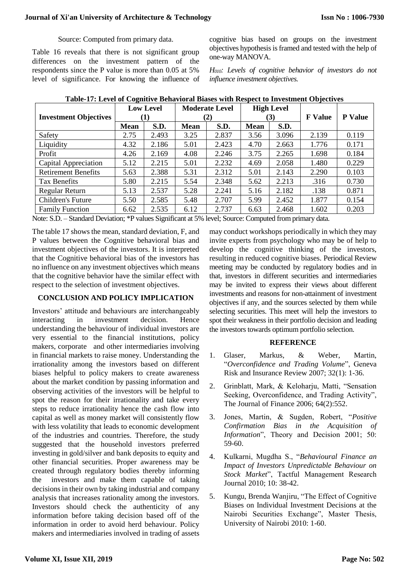# Source: Computed from primary data.

Table 16 reveals that there is not significant group differences on the investment pattern of the respondents since the P value is more than 0.05 at 5% level of significance. For knowing the influence of cognitive bias based on groups on the investment objectives hypothesis is framed and tested with the help of one-way MANOVA.

*H010: Levels of cognitive behavior of investors do not influence investment objectives.*

| <b>Investment Objectives</b> | <b>Low Level</b><br>(1) |       | <b>Moderate Level</b><br>(2) |       | <b>High Level</b><br>(3) |       | <b>F</b> Value | <b>P</b> Value |
|------------------------------|-------------------------|-------|------------------------------|-------|--------------------------|-------|----------------|----------------|
|                              | <b>Mean</b>             | S.D.  | <b>Mean</b>                  | S.D.  | <b>Mean</b>              | S.D.  |                |                |
| Safety                       | 2.75                    | 2.493 | 3.25                         | 2.837 | 3.56                     | 3.096 | 2.139          | 0.119          |
| Liquidity                    | 4.32                    | 2.186 | 5.01                         | 2.423 | 4.70                     | 2.663 | 1.776          | 0.171          |
| Profit                       | 4.26                    | 2.169 | 4.08                         | 2.246 | 3.75                     | 2.265 | 1.698          | 0.184          |
| Capital Appreciation         | 5.12                    | 2.215 | 5.01                         | 2.232 | 4.69                     | 2.058 | 1.480          | 0.229          |
| <b>Retirement Benefits</b>   | 5.63                    | 2.388 | 5.31                         | 2.312 | 5.01                     | 2.143 | 2.290          | 0.103          |
| Tax Benefits                 | 5.80                    | 2.215 | 5.54                         | 2.348 | 5.62                     | 2.213 | .316           | 0.730          |
| Regular Return               | 5.13                    | 2.537 | 5.28                         | 2.241 | 5.16                     | 2.182 | .138           | 0.871          |
| Children's Future            | 5.50                    | 2.585 | 5.48                         | 2.707 | 5.99                     | 2.452 | 1.877          | 0.154          |
| <b>Family Function</b>       | 6.62                    | 2.535 | 6.12                         | 2.737 | 6.63                     | 2.468 | 1.602          | 0.203          |

# **Table-17: Level of Cognitive Behavioral Biases with Respect to Investment Objectives**

Note: S.D. – Standard Deviation; \*P values Significant at 5% level; Source: Computed from primary data.

The table 17 shows the mean, standard deviation, F, and P values between the Cognitive behavioral bias and investment objectives of the investors. It is interpreted that the Cognitive behavioral bias of the investors has no influence on any investment objectives which means that the cognitive behavior have the similar effect with respect to the selection of investment objectives.

# **CONCLUSION AND POLICY IMPLICATION**

Investors' attitude and behaviours are interchangeably interacting in investment decision. Hence understanding the behaviour of individual investors are very essential to the financial institutions, policy makers, corporate and other intermediaries involving in financial markets to raise money. Understanding the irrationality among the investors based on different biases helpful to policy makers to create awareness about the market condition by passing information and observing activities of the investors will be helpful to spot the reason for their irrationality and take every steps to reduce irrationality hence the cash flow into capital as well as money market will consistently flow with less volatility that leads to economic development of the industries and countries. Therefore, the study suggested that the household investors preferred investing in gold/silver and bank deposits to equity and other financial securities. Proper awareness may be created through regulatory bodies thereby informing the investors and make them capable of taking decisions in their own by taking industrial and company analysis that increases rationality among the investors. Investors should check the authenticity of any information before taking decision based off of the information in order to avoid herd behaviour. Policy makers and intermediaries involved in trading of assets

may conduct workshops periodically in which they may invite experts from psychology who may be of help to develop the cognitive thinking of the investors, resulting in reduced cognitive biases. Periodical Review meeting may be conducted by regulatory bodies and in that, investors in different securities and intermediaries may be invited to express their views about different investments and reasons for non-attainment of investment objectives if any, and the sources selected by them while selecting securities. This meet will help the investors to spot their weakness in their portfolio decision and leading the investors towards optimum portfolio selection.

# **REFERENCE**

- 1. Glaser, Markus, & Weber, Martin, "*Overconfidence and Trading Volume*", Geneva Risk and Insurance Review 2007; 32(1): 1-36.
- 2. Grinblatt, Mark, & Keloharju, Matti, "Sensation Seeking, Overconfidence, and Trading Activity", The Journal of Finance 2006; 64(2):552.
- 3. Jones, Martin, & Sugden, Robert, "*Positive Confirmation Bias in the Acquisition of Information*", Theory and Decision 2001; 50: 59-60.
- 4. Kulkarni, Mugdha S., "*Behavioural Finance an Impact of Investors Unpredictable Behaviour on Stock Market*", Tactful Management Research Journal 2010; 10: 38-42.
- 5. Kungu, Brenda Wanjiru, "The Effect of Cognitive Biases on Individual Investment Decisions at the Nairobi Securities Exchange", Master Thesis, University of Nairobi 2010: 1-60.